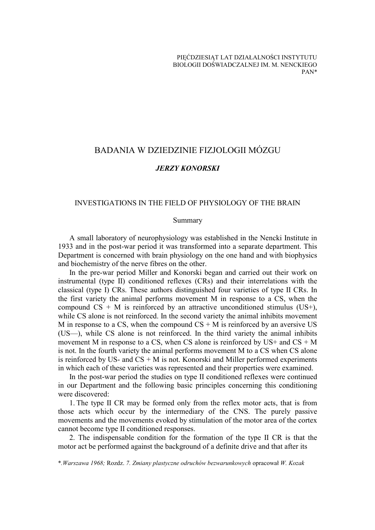# BADANIA W DZIEDZINIE FIZJOLOGII MÓZGU

# *JERZY KONORSKI*

# INVESTIGATIONS IN THE FIELD OF PHYSIOLOGY OF THE BRAIN

#### Summary

A small laboratory of neurophysiology was established in the Nencki Institute in 1933 and in the post-war period it was transformed into a separate department. This Department is concerned with brain physiology on the one hand and with biophysics and biochemistry of the nerve fibres on the other.

In the pre-war period Miller and Konorski began and carried out their work on instrumental (type II) conditioned reflexes (CRs) and their interrelations with the classical (type I) CRs. These authors distinguished four varieties of type II CRs. In the first variety the animal performs movement M in response to a CS, when the compound  $CS + M$  is reinforced by an attractive unconditioned stimulus (US+), while CS alone is not reinforced. In the second variety the animal inhibits movement M in response to a CS, when the compound  $CS + M$  is reinforced by an aversive US (US—), while CS alone is not reinforced. In the third variety the animal inhibits movement M in response to a CS, when CS alone is reinforced by  $US+$  and  $CS + M$ is not. In the fourth variety the animal performs movement M to a CS when CS alone is reinforced by US- and  $CS + M$  is not. Konorski and Miller performed experiments in which each of these varieties was represented and their properties were examined.

In the post-war period the studies on type II conditioned reflexes were continued in our Department and the following basic principles concerning this conditioning were discovered:

1. The type II CR may be formed only from the reflex motor acts, that is from those acts which occur by the intermediary of the CNS. The purely passive movements and the movements evoked by stimulation of the motor area of the cortex cannot become type II conditioned responses.

2. The indispensable condition for the formation of the type II CR is that the motor act be performed against the background of a definite drive and that after its

\**.Warszawa 1968;* Rozdz. *7. Zmiany plastyczne odruchów bezwarunkowych* opracował *W. Kozak*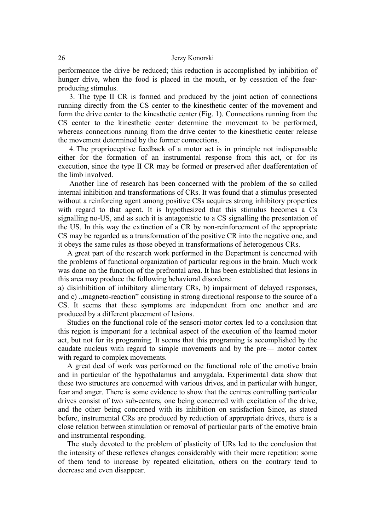performeance the drive be reduced; this reduction is accomplished by inhibition of hunger drive, when the food is placed in the mouth, or by cessation of the fearproducing stimulus.

3. The type II CR is formed and produced by the joint action of connections running directly from the CS center to the kinesthetic center of the movement and form the drive center to the kinesthetic center (Fig. 1). Connections running from the CS center to the kinesthetic center determine the movement to be performed, whereas connections running from the drive center to the kinesthetic center release the movement determined by the former connections.

4. The proprioceptive feedback of a motor act is in principle not indispensable either for the formation of an instrumental response from this act, or for its execution, since the type II CR may be formed or preserved after deafferentation of the limb involved.

Another line of research has been concerned with the problem of the so called internal inhibition and transformations of CRs. It was found that a stimulus presented without a reinforcing agent among positive CSs acquires strong inhibitory properties with regard to that agent. It is hypothesized that this stimulus becomes a Cs signalling no-US, and as such it is antagonistic to a CS signalling the presentation of the US. In this way the extinction of a CR by non-reinforcement of the appropriate CS may be regarded as a transformation of the positive CR into the negative one, and it obeys the same rules as those obeyed in transformations of heterogenous CRs.

A great part of the research work performed in the Department is concerned with the problems of functional organization of particular regions in the brain. Much work was done on the function of the prefrontal area. It has been established that lesions in this area may produce the following behavioral disorders:

a) disinhibition of inhibitory alimentary CRs, b) impairment of delayed responses, and c) ,,magneto-reaction" consisting in strong directional response to the source of a CS. It seems that these symptoms are independent from one another and are produced by a different placement of lesions.

Studies on the functional role of the sensori-motor cortex led to a conclusion that this region is important for a technical aspect of the execution of the learned motor act, but not for its programing. It seems that this programing is accomplished by the caudate nucleus with regard to simple movements and by the pre— motor cortex with regard to complex movements.

A great deal of work was performed on the functional role of the emotive brain and in particular of the hypothalamus and amygdala. Experimental data show that these two structures are concerned with various drives, and in particular with hunger, fear and anger. There is some evidence to show that the centres controlling particular drives consist of two sub-centers, one being concerned with excitation of the drive, and the other being concerned with its inhibition on satisfaction Since, as stated before, instrumental CRs are produced by reduction of appropriate drives, there is a close relation between stimulation or removal of particular parts of the emotive brain and instrumental responding.

The study devoted to the problem of plasticity of URs led to the conclusion that the intensity of these reflexes changes considerably with their mere repetition: some of them tend to increase by repeated elicitation, others on the contrary tend to decrease and even disappear.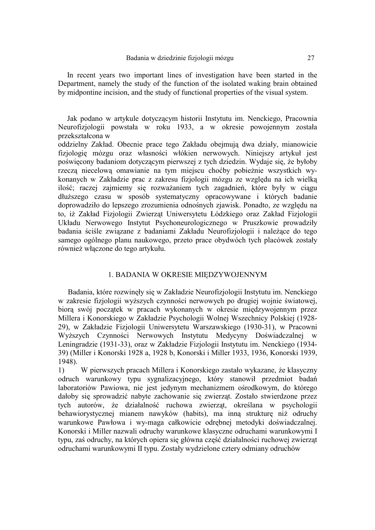In recent years two important lines of investigation have been started in the Department, namely the study of the function of the isolated waking brain obtained by midpontine incision, and the study of functional properties of the visual system.

Jak podano w artykule dotyczącym historii Instytutu im. Nenckiego, Pracownia Neurofizjologii powstała w roku 1933, a w okresie powojennym została przekształcona w

oddzielny Zakład. Obecnie prace tego Zakładu obejmują dwa działy, mianowicie fizjologię mózgu oraz własności włókien nerwowych. Niniejszy artykuł jest poświęcony badaniom dotyczącym pierwszej z tych dziedzin. Wydaje się, że byłoby rzeczą niecelową omawianie na tym miejscu choćby pobieżnie wszystkich wykonanych w Zakładzie prac z zakresu fizjologii mózgu ze względu na ich wielką ilość; raczej zajmiemy się rozważaniem tych zagadnień, które były w ciągu dłuższego czasu w sposób systematyczny opracowywane i których badanie doprowadziło do lepszego zrozumienia odnośnych zjawisk. Ponadto, ze względu na to, iż Zakład Fizjologii Zwierząt Uniwersytetu Łódzkiego oraz Zakład Fizjologii Układu Nerwowego Instytut Psychoneurologicznego w Pruszkowie prowadziły badania ściśle związane z badaniami Zakładu Neurofizjologii i należące do tego samego ogólnego planu naukowego, przeto prace obydwóch tych placówek zostały również włączone do tego artykułu.

# 1. BADANIA W OKRESIE MIĘDZYWOJENNYM

Badania, które rozwinęły się w Zakładzie Neurofizjologii Instytutu im. Nenckiego w zakresie fizjologii wyższych czynności nerwowych po drugiej wojnie światowej, biorą swój początek w pracach wykonanych w okresie międzywojennym przez Millera i Konorskiego w Zakładzie Psychologii Wolnej Wszechnicy Polskiej (1928- 29), w Zakładzie Fizjologii Uniwersytetu Warszawskiego (1930-31), w Pracowni Wyższych Czynności Nerwowych Instytutu Medycyny Doświadczalnej w Leningradzie (1931-33), oraz w Zakładzie Fizjologii Instytutu im. Nenckiego (1934- 39) (Miller i Konorski 1928 a, 1928 b, Konorski i Miller 1933, 1936, Konorski 1939, 1948).

1) W pierwszych pracach Millera i Konorskiego zastało wykazane, że klasyczny odruch warunkowy typu sygnalizacyjnego, który stanowił przedmiot badań laboratoriów Pawiowa, nie jest jedynym mechanizmem ośrodkowym, do którego dałoby się sprowadzić nabyte zachowanie się zwierząt. Zostało stwierdzone przez tych autorów, że działalność ruchowa zwierząt, określana w psychologii behawiorystycznej mianem nawyków (habits), ma inną strukturę niż odruchy warunkowe Pawłowa i wy-maga całkowicie odrębnej metodyki doświadczalnej. Konorski i Miller nazwali odruchy warunkowe klasyczne odruchami warunkowymi I typu, zaś odruchy, na których opiera się główna część działalności ruchowej zwierząt odruchami warunkowymi II typu. Zostały wydzielone cztery odmiany odruchów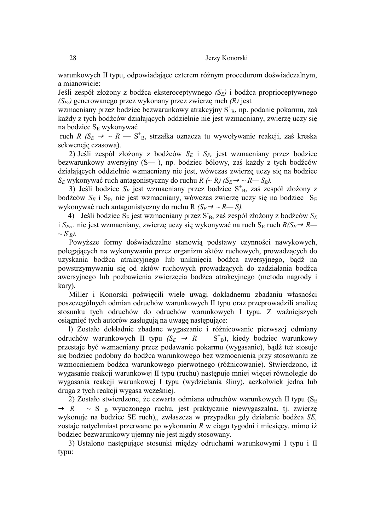warunkowych II typu, odpowiadające czterem różnym procedurom doświadczalnym, a mianowicie:

Jeśli zespół złożony z bodźca eksteroceptywnego *(SE)* i bodźca proprioceptywnego *(SPr)* generowanego przez wykonany przez zwierzę ruch *(R)* jest

wzmacniany przez bodziec bezwarunkowy atrakcyjny S<sup>+</sup><sub>B</sub>, np. podanie pokarmu, zaś każdy z tych bodźców działających oddzielnie nie jest wzmacniany, zwierzę uczy się na bodziec S<sub>E</sub> wykonywać

ruch *R* ( $S_E \rightarrow \sim R$  — S<sup>+</sup><sub>B</sub>, strzałka oznacza tu wywoływanie reakcji, zaś kreska sekwencję czasową).

2) Jeśli zespół złożony z bodźców *SE* i *SPr* jest wzmacniany przez bodziec bezwarunkowy awersyjny (S*—* ), np. bodziec bólowy, zaś każdy z tych bodźców działających oddzielnie wzmacniany nie jest, wówczas zwierzę uczy się na bodziec  $S_E$  wykonywać ruch antagonistyczny do ruchu *R (~ R) (S<sub>E</sub> → ~ R— S<sub>B</sub>).* 

3) Jeśli bodziec S<sub>E</sub> jest wzmacniany przez bodziec S<sup>+</sup><sub>B</sub>, zaś zespół złożony z bodźców S<sub>E</sub> i S<sub>Pr</sub> nie jest wzmacniany, wówczas zwierzę uczy się na bodziec S<sub>E</sub> wykonywać ruch antagonistyczny do ruchu R *(S<sub>E</sub>*→ ~ *R*— *S*).

4) Jeśli bodziec SE jest wzmacniany przez S-B, zaś zespół złożony z bodźców *SE* i  $S_{Pr}$ , nie jest wzmacniany, zwierzę uczy się wykonywać na ruch  $S_E$  ruch  $R/S_E \rightarrow R$ —  $\sim S_B$ ).

Powyższe formy doświadczalne stanowią podstawy czynności nawykowych, polegających na wykonywaniu przez organizm aktów ruchowych, prowadzących do uzyskania bodźca atrakcyjnego lub uniknięcia bodźca awersyjnego, bądź na powstrzymywaniu się od aktów ruchowych prowadzących do zadziałania bodźca awersyjnego lub pozbawienia zwierzęcia bodźca atrakcyjnego (metoda nagrody i kary).

Miller i Konorski poświęcili wiele uwagi dokładnemu zbadaniu własności poszczególnych odmian odruchów warunkowych II typu oraz przeprowadzili analizę stosunku tych odruchów do odruchów warunkowych I typu. Z ważniejszych osiągnięć tych autorów zasługują na uwagę następujące:

l) Zostało dokładnie zbadane wygaszanie i różnicowanie pierwszej odmiany odruchów warunkowych II typu  $(S_E \rightarrow R \rightarrow S_B^+)$ , kiedy bodziec warunkowy przestaje być wzmacniany przez podawanie pokarmu (wygasanie), bądź też stosuje się bodziec podobny do bodźca warunkowego bez wzmocnienia przy stosowaniu ze wzmocnieniem bodźca warunkowego pierwotnego (różnicowanie). Stwierdzono, iż wygasanie reakcji warunkowej II typu (ruchu) następuje mniej więcej równolegle do wygasania reakcji warunkowej I typu (wydzielania śliny), aczkolwiek jedna lub druga z tych reakcji wygasa wcześniej.

2) Zostało stwierdzone, że czwarta odmiana odruchów warunkowych II typu ( $S_E$ )  $\rightarrow R \rightarrow S^-$ <sub>B</sub> wyuczonego ruchu, jest praktycznie niewygaszalna, tj. zwierzę wykonuje na bodziec SE ruch)" zwłaszcza w przypadku gdy działanie bodźca *SE,*  zostaje natychmiast przerwane po wykonaniu *R* w ciągu tygodni i miesięcy, mimo iż bodziec bezwarunkowy ujemny nie jest nigdy stosowany.

3) Ustalono następujące stosunki między odruchami warunkowymi I typu i II typu: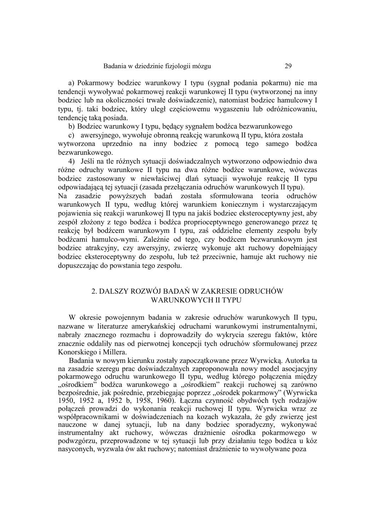a) Pokarmowy bodziec warunkowy I typu (sygnał podania pokarmu) nie ma tendencji wywoływać pokarmowej reakcji warunkowej II typu (wytworzonej na inny bodziec lub na okoliczności trwałe doświadczenie), natomiast bodziec hamulcowy I typu, tj. taki bodziec, który uległ częściowemu wygaszeniu lub odróżnicowaniu, tendencję taką posiada.

b) Bodziec warunkowy I typu, będący sygnałem bodźca bezwarunkowego

c) awersyjnego, wywołuje obronną reakcję warunkową II typu, która została wytworzona uprzednio na inny bodziec z pomocą tego samego bodźca bezwarunkowego.

4) Jeśli na tle różnych sytuacji doświadczalnych wytworzono odpowiednio dwa różne odruchy warunkowe II typu na dwa różne bodźce warunkowe, wówczas bodziec zastosowany w niewłaściwej dlań sytuacji wywołuje reakcję II typu odpowiadającą tej sytuacji (zasada przełączania odruchów warunkowych II typu). Na zasadzie powyższych badań została sformułowana teoria odruchów warunkowych II typu, według której warunkiem koniecznym i wystarczającym pojawienia się reakcji warunkowej II typu na jakiś bodziec eksteroceptywny jest, aby zespół złożony z tego bodźca i bodźca proprioceptywnego generowanego przez tę reakcję był bodźcem warunkowym I typu, zaś oddzielne elementy zespołu były bodźcami hamulco-wymi. Zależnie od tego, czy bodźcem bezwarunkowym jest bodziec atrakcyjny, czy awersyjny, zwierzę wykonuje akt ruchowy dopełniający bodziec eksteroceptywny do zespołu, lub też przeciwnie, hamuje akt ruchowy nie

# 2. DALSZY ROZWÓJ BADAŃ W ZAKRESIE ODRUCHÓW WARUNKOWYCH II TYPU

dopuszczając do powstania tego zespołu.

W okresie powojennym badania w zakresie odruchów warunkowych II typu, nazwane w literaturze amerykańskiej odruchami warunkowymi instrumentalnymi, nabrały znacznego rozmachu i doprowadziły do wykrycia szeregu faktów, które znacznie oddaliły nas od pierwotnej koncepcji tych odruchów sformułowanej przez Konorskiego i Millera.

Badania w nowym kierunku zostały zapoczątkowane przez Wyrwicką. Autorka ta na zasadzie szeregu prac doświadczalnych zaproponowała nowy model asocjacyjny pokarmowego odruchu warunkowego II typu, według którego połączenia między "ośrodkiem" bodźca warunkowego a "ośrodkiem" reakcji ruchowej są zarówno bezpośrednie, jak pośrednie, przebiegając poprzez "ośrodek pokarmowy" (Wyrwicka 1950, 1952 a, 1952 b, 1958, 1960). Łączna czynność obydwóch tych rodzajów połączeń prowadzi do wykonania reakcji ruchowej II typu. Wyrwicka wraz ze współpracownikami w doświadczeniach na kozach wykazała, że gdy zwierzę jest nauczone w danej sytuacji, lub na dany bodziec sporadyczny, wykonywać instrumentalny akt ruchowy, wówczas drażnienie ośrodka pokarmowego w podwzgórzu, przeprowadzone w tej sytuacji lub przy działaniu tego bodźca u kóz nasyconych, wyzwala ów akt ruchowy; natomiast drażnienie to wywoływane poza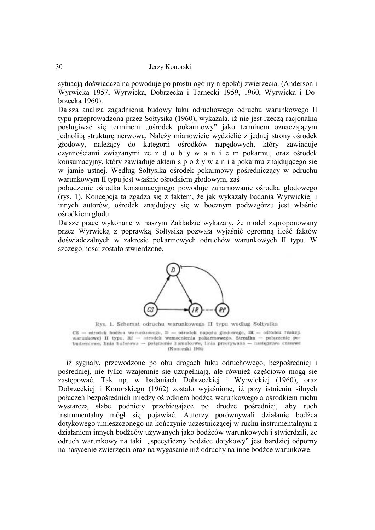sytuacją doświadczalną powoduje po prostu ogólny niepokój zwierzęcia. (Anderson i Wyrwicka 1957, Wyrwicka, Dobrzecka i Tarnecki 1959, 1960, Wyrwicka i Dobrzecka 1960).

Dalsza analiza zagadnienia budowy łuku odruchowego odruchu warunkowego II typu przeprowadzona przez Sołtysika (1960), wykazała, iż nie jest rzeczą racjonalną posługiwać się terminem "ośrodek pokarmowy" jako terminem oznaczającym jednolitą strukturę nerwową. Należy mianowicie wydzielić z jednej strony ośrodek głodowy, należący do kategorii ośrodków napędowych, który zawiaduje czynnościami związanymi ze z d o b y w a n i e m pokarmu, oraz ośrodek konsumacyjny, który zawiaduje aktem s p o ż y w a n i a pokarmu znajdującego się w jamie ustnej. Według Sołtysika ośrodek pokarmowy pośredniczący w odruchu warunkowym II typu jest właśnie ośrodkiem głodowym, zaś

pobudzenie ośrodka konsumacyjnego powoduje zahamowanie ośrodka głodowego (rys. 1). Koncepcja ta zgadza się z faktem, że jak wykazały badania Wyrwickiej i innych autorów, ośrodek znajdujący się w bocznym podwzgórzu jest właśnie ośrodkiem głodu.

Dalsze prace wykonane w naszym Zakładzie wykazały, że model zaproponowany przez Wyrwicką z poprawką Sołtysika pozwała wyjaśnić ogromną ilość faktów doświadczalnych w zakresie pokarmowych odruchów warunkowych II typu. W szczególności zostało stwierdzone,



Rys. 1. Schemat odruchu warunkowego II typu według Sołtysika

CS - ośrodek bodźca warunkowego, D - ośrodek napędu głodowego, IR - ośrodek reakcji warunkowej II typu, Rf - ośrodek wzmocnienia pokarmowego. Strzałka - połączenie pobudzeniowe, linia buforowa -- połączenie hamulcowe, linia przerywana -- następstwo czasowe (Konorski 1964)

iż sygnały, przewodzone po obu drogach łuku odruchowego, bezpośredniej i pośredniej, nie tylko wzajemnie się uzupełniają, ale również częściowo mogą się zastępować. Tak np. w badaniach Dobrzeckiej i Wyrwickiej (1960), oraz Dobrzeckiej i Konorskiego (1962) zostało wyjaśnione, iż przy istnieniu silnych połączeń bezpośrednich między ośrodkiem bodźca warunkowego a ośrodkiem ruchu wystarczą słabe podniety przebiegające po drodze pośredniej, aby ruch instrumentalny mógł się pojawiać. Autorzy porównywali działanie bodźca dotykowego umieszczonego na kończynie uczestniczącej w ruchu instrumentalnym z działaniem innych bodźców używanych jako bodźców warunkowych i stwierdzili, że odruch warunkowy na taki "specyficzny bodziec dotykowy" jest bardziej odporny na nasycenie zwierzęcia oraz na wygasanie niż odruchy na inne bodźce warunkowe.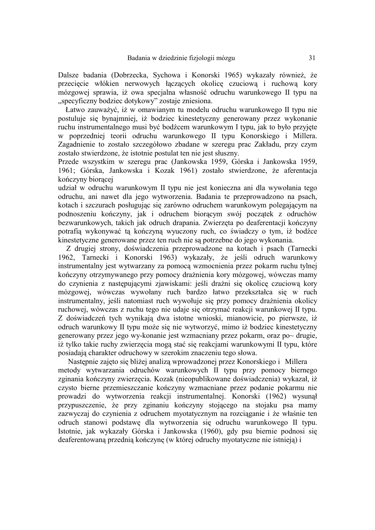Dalsze badania (Dobrzecka, Sychowa i Konorski 1965) wykazały również, że przecięcie włókien nerwowych łączących okolicę czuciową i ruchową kory mózgowej sprawia, iż owa specjalna własność odruchu warunkowego II typu na "specyficzny bodziec dotykowy" zostaje zniesiona.

Łatwo zauważyć, iż w omawianym tu modelu odruchu warunkowego II typu nie postuluje się bynajmniej, iż bodziec kinestetyczny generowany przez wykonanie ruchu instrumentalnego musi być bodźcem warunkowym I typu, jak to było przyjęte w poprzedniej teorii odruchu warunkowego II typu Konorskiego i Millera. Zagadnienie to zostało szczegółowo zbadane w szeregu prac Zakładu, przy czym zostało stwierdzone, że istotnie postulat ten nie jest słuszny.

Przede wszystkim w szeregu prac (Jankowska 1959, Górska i Jankowska 1959, 1961; Górska, Jankowska i Kozak 1961) zostało stwierdzone, że aferentacja kończyny biorącej

udział w odruchu warunkowym II typu nie jest konieczna ani dla wywołania tego odruchu, ani nawet dla jego wytworzenia. Badania te przeprowadzono na psach, kotach i szczurach posługując się zarówno odruchem warunkowym polegającym na podnoszeniu kończyny, jak i odruchem biorącym swój początek z odruchów bezwarunkowych, takich jak odruch drapania. Zwierzęta po deaferentacji kończyny potrafią wykonywać tą kończyną wyuczony ruch, co świadczy o tym, iż bodźce kinestetyczne generowane przez ten ruch nie są potrzebne do jego wykonania.

Z drugiej strony, doświadczenia przeprowadzone na kotach i psach (Tarnecki 1962, Tarnecki i Konorski 1963) wykazały, że jeśli odruch warunkowy instrumentalny jest wytwarzany za pomocą wzmocnienia przez pokarm ruchu tylnej kończyny otrzymywanego przy pomocy drażnienia kory mózgowej, wówczas mamy do czynienia z następującymi zjawiskami: jeśli drażni się okolicę czuciową kory mózgowej, wówczas wywołany ruch bardzo łatwo przekształca się w ruch instrumentalny, jeśli natomiast ruch wywołuje się przy pomocy drażnienia okolicy ruchowej, wówczas z ruchu tego nie udaje się otrzymać reakcji warunkowej II typu. Z doświadczeń tych wynikają dwa istotne wnioski, mianowicie, po pierwsze, iż odruch warunkowy II typu może się nie wytworzyć, mimo iż bodziec kinestetyczny generowany przez jego wy-konanie jest wzmacniany przez pokarm, oraz po~ drugie, iż tylko takie ruchy zwierzęcia mogą stać się reakcjami warunkowymi II typu, które posiadają charakter odruchowy w szerokim znaczeniu tego słowa.

Następnie zajęto się bliżej analizą wprowadzonej przez Konorskiego i Millera metody wytwarzania odruchów warunkowych II typu przy pomocy biernego zginania kończyny zwierzęcia. Kozak (nieopublikowane doświadczenia) wykazał, iż czysto bierne przemieszczanie kończyny wzmacniane przez podanie pokarmu nie prowadzi do wytworzenia reakcji instrumentalnej. Konorski (1962) wysunął przypuszczenie, że przy zginaniu kończyny stojącego na stojaku psa mamy zazwyczaj do czynienia z odruchem myotatycznym na rozciąganie i że właśnie ten odruch stanowi podstawę dla wytworzenia się odruchu warunkowego II typu. Istotnie, jak wykazały Górska i Jankowska (1960), gdy psu biernie podnosi się deaferentowaną przednią kończynę (w której odruchy myotatyczne nie istnieją) i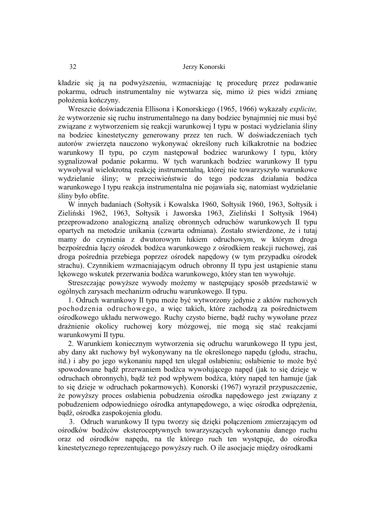kładzie się ją na podwyższeniu, wzmacniając tę procedurę przez podawanie pokarmu, odruch instrumentalny nie wytwarza się, mimo iż pies widzi zmianę położenia kończyny.

Wreszcie doświadczenia Ellisona i Konorskiego (1965, 1966) wykazały *explicite,*  że wytworzenie się ruchu instrumentalnego na dany bodziec bynajmniej nie musi być związane z wytworzeniem się reakcji warunkowej I typu w postaci wydzielania śliny na bodziec kinestetyczny generowany przez ten ruch. W doświadczeniach tych autorów zwierzęta nauczono wykonywać określony ruch kilkakrotnie na bodziec warunkowy II typu, po czym następował bodziec warunkowy I typu, który sygnalizował podanie pokarmu. W tych warunkach bodziec warunkowy II typu wywoływał wielokrotną reakcję instrumentalną, której nie towarzyszyło warunkowe wydzielanie śliny; w przeciwieństwie do tego podczas działania bodźca warunkowego I typu reakcja instrumentalna nie pojawiała się, natomiast wydzielanie śliny było obfite.

W innych badaniach (Sołtysik i Kowalska 1960, Sołtysik 1960, 1963, Sołtysik i Zieliński 1962, 1963, Sołtysik i Jaworska 1963, Zieliński I Sołtysik 1964) przeprowadzono analogiczną analizę obronnych odruchów warunkowych II typu opartych na metodzie unikania (czwarta odmiana). Zostało stwierdzone, że i tutaj mamy do czynienia z dwutorowym łukiem odruchowym, w którym droga bezpośrednia łączy ośrodek bodźca warunkowego z ośrodkiem reakcji ruchowej, zaś droga pośrednia przebiega poprzez ośrodek napędowy (w tym przypadku ośrodek strachu). Czynnikiem wzmacniającym odruch obronny II typu jest ustąpienie stanu lękowego wskutek przerwania bodźca warunkowego, który stan ten wywołuje.

Streszczając powyższe wywody możemy w następujący sposób przedstawić w ogólnych zarysach mechanizm odruchu warunkowego. II typu.

1. Odruch warunkowy II typu może być wytworzony jedynie z aktów ruchowych pochodzenia odruchowego, a więc takich, które zachodzą za pośrednictwem ośrodkowego układu nerwowego. Ruchy czysto bierne, bądź ruchy wywołane przez drażnienie okolicy ruchowej kory mózgowej, nie mogą się stać reakcjami warunkowymi II typu.

2. Warunkiem koniecznym wytworzenia się odruchu warunkowego II typu jest, aby dany akt ruchowy był wykonywany na tle określonego napędu (głodu, strachu, itd.) i aby po jego wykonaniu napęd ten ulegał osłabieniu; osłabienie to może być spowodowane bądź przerwaniem bodźca wywołującego napęd (jak to się dzieje w odruchach obronnych), bądź też pod wpływem bodźca, który napęd ten hamuje (jak to się dzieje w odruchach pokarmowych). Konorski (1967) wyraził przypuszczenie, że powyższy proces osłabienia pobudzenia ośrodka napędowego jest związany z pobudzeniem odpowiedniego ośrodka antynapędowego, a więc ośrodka odprężenia, bądź, ośrodka zaspokojenia głodu.

3. Odruch warunkowy II typu tworzy się dzięki połączeniom zmierzającym od ośrodków bodźców eksteroceptywnych towarzyszących wykonaniu danego ruchu oraz od ośrodków napędu, na tle którego ruch ten występuje, do ośrodka kinestetycznego reprezentującego powyższy ruch. O ile asocjacje między ośrodkami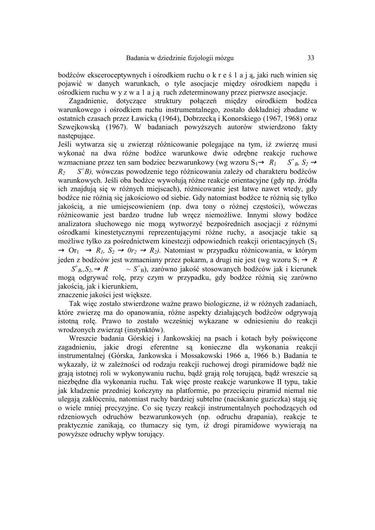bodźców eksceroceptywnych i ośrodkiem ruchu o k r e ś 1 a j ą, jaki ruch winien się pojawić w danych warunkach, o tyle asocjacje między ośrodkiem napędu i ośrodkiem ruchu w y z w a 1 a j ą ruch zdeterminowany przez pierwsze asocjacje.

Zagadnienie, dotyczące struktury połączeń między ośrodkiem bodźca warunkowego i ośrodkiem ruchu instrumentalnego, zostało dokładniej zbadane w ostatnich czasach przez Ławicką (1964), Dobrzecką i Konorskiego (1967, 1968) oraz Szwejkowską (1967). W badaniach powyższych autorów stwierdzono fakty nastepujące.

Jeśli wytwarza się u zwierząt różnicowanie polegające na tym, iż zwierzę musi wykonać na dwa różne bodźce warunkowe dwie odrębne reakcje ruchowe wzmacniane przez ten sam bodziec bezwarunkowy (wg wzoru  $S_1 \rightarrow R_1 - S^{\dagger}_{B}$ ,  $S_2 \rightarrow$  $R_2 \longrightarrow S^+B$ ), wówczas powodzenie tego różnicowania zależy od charakteru bodźców warunkowych. Jeśli oba bodźce wywołują różne reakcje orientacyjne (gdy np. źródła ich znajdują się w różnych miejscach), różnicowanie jest łatwe nawet wtedy, gdy bodźce nie różnią się jakościowo od siebie. Gdy natomiast bodźce te różnią się tylko jakością, a nie umiejscowieniem (np. dwa tony o różnej częstości), wówczas różnicowanie jest bardzo trudne lub wręcz niemożliwe. Innymi słowy bodźce analizatora słuchowego nie mogą wytworzyć bezpośrednich asocjacji z różnymi ośrodkami kinestetycznymi reprezentującymi różne ruchy, a asocjacje takie są możliwe tylko za pośrednictwem kinestezji odpowiednich reakcji orientacyjnych  $(S_1)$  $\rightarrow$  Or<sub>1</sub>  $\rightarrow$  *R<sub>1</sub>*, *S*<sub>2</sub>  $\rightarrow$  *Or*<sub>2</sub>  $\rightarrow$  *R*<sub>2</sub>). Natomiast w przypadku różnicowania, w którym jeden z bodźców jest wzmacniany przez pokarm, a drugi nie jest (wg wzoru  $S_1 \rightarrow R$  *S*<sup>+</sup> *B,,S2,*→ *R ~ S<sup>+</sup>* B), zarówno jakość stosowanych bodźców jak i kierunek mogą odgrywać rolę, przy czym w przypadku, gdy bodźce różnią się zarówno jakością, jak i kierunkiem,

znaczenie jakości jest większe.

Tak więc zostało stwierdzone ważne prawo biologiczne, iż w różnych zadaniach, które zwierzę ma do opanowania, różne aspekty działających bodźców odgrywają istotną rolę. Prawo to zostało wcześniej wykazane w odniesieniu do reakcji wrodzonych zwierząt (instynktów).

Wreszcie badania Górskiej i Jankowskiej na psach i kotach były poświęcone zagadnieniu, jakie drogi eferentne są konieczne dla wykonania reakcji instrumentalnej (Górska, Jankowska i Mossakowski 1966 a, 1966 b.) Badania te wykazały, iż w zależności od rodzaju reakcji ruchowej drogi piramidowe bądź nie grają istotnej roli w wykonywaniu ruchu, bądź grają rolę torującą, bądź wreszcie są niezbędne dla wykonania ruchu. Tak więc proste reakcje warunkowe II typu, takie jak kładzenie przedniej kończyny na platformie, po przecięciu piramid niemal nie ulegają zakłóceniu, natomiast ruchy bardziej subtelne (naciskanie guziczka) stają się o wiele mniej precyzyjne. Co się tyczy reakcji instrumentalnych pochodzących od rdzeniowych odruchów bezwarunkowych (np. odruchu drapania), reakcje te praktycznie zanikają, co tłumaczy się tym, iż drogi piramidowe wywierają na powyższe odruchy wpływ torujący.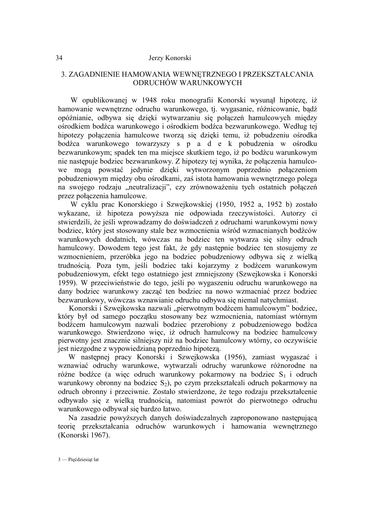# 3. ZAGADNIENIE HAMOWANIA WEWNĘTRZNEGO I PRZEKSZTAŁCANIA ODRUCHÓW WARUNKOWYCH

W opublikowanej w 1948 roku monografii Konorski wysunął hipotezę, iż hamowanie wewnętrzne odruchu warunkowego, tj. wygasanie, różnicowanie, bądź opóźnianie, odbywa się dzięki wytwarzaniu się połączeń hamulcowych między ośrodkiem bodźca warunkowego i ośrodkiem bodźca bezwarunkowego. Według tej hipotezy połączenia hamulcowe tworzą się dzięki temu, iż pobudzeniu ośrodka bodźca warunkowego towarzyszy s p a d e k pobudzenia w ośrodku bezwarunkowym; spadek ten ma miejsce skutkiem tego, iż po bodźcu warunkowym nie następuje bodziec bezwarunkowy. Z hipotezy tej wynika, że połączenia hamulcowe mogą powstać jedynie dzięki wytworzonym poprzednio połączeniom pobudzeniowym między obu ośrodkami, zaś istota hamowania wewnętrznego polega na swojego rodzaju "neutralizacji", czy zrównoważeniu tych ostatnich połączeń przez połączenia hamulcowe.

W cyklu prac Konorskiego i Szwejkowskiej (1950, 1952 a, 1952 b) zostało wykazane, iż hipoteza powyższa nie odpowiada rzeczywistości. Autorzy ci stwierdzili, że jeśli wprowadzamy do doświadczeń z odruchami warunkowymi nowy bodziec, który jest stosowany stale bez wzmocnienia wśród wzmacnianych bodźców warunkowych dodatnich, wówczas na bodziec ten wytwarza się silny odruch hamulcowy. Dowodem tego jest fakt, że gdy następnie bodziec ten stosujemy ze wzmocnieniem, przeróbka jego na bodziec pobudzeniowy odbywa się z wielką trudnością. Poza tym, jeśli bodziec taki kojarzymy z bodźcem warunkowym pobudzeniowym, efekt tego ostatniego jest zmniejszony (Szwejkowska i Konorski 1959). W przeciwieństwie do tego, jeśli po wygaszeniu odruchu warunkowego na dany bodziec warunkowy zacząć ten bodziec na nowo wzmacniać przez bodziec bezwarunkowy, wówczas wznawianie odruchu odbywa się niemal natychmiast.

Konorski i Szwejkowska nazwali "pierwotnym bodźcem hamulcowym" bodziec, który był od samego początku stosowany bez wzmocnienia, natomiast wtórnym bodźcem hamulcowym nazwali bodziec przerobiony z pobudzeniowego bodźca warunkowego. Stwierdzono więc, iż odruch hamulcowy na bodziec hamulcowy pierwotny jest znacznie silniejszy niż na bodziec hamulcowy wtórny, co oczywiście jest niezgodne z wypowiedzianą poprzednio hipotezą.

W następnej pracy Konorski i Szwejkowska (1956), zamiast wygaszać i wznawiać odruchy warunkowe, wytwarzali odruchy warunkowe różnorodne na różne bodźce (a więc odruch warunkowy pokarmowy na bodziec  $S_1$  i odruch warunkowy obronny na bodziec  $S_2$ ), po czym przekształcali odruch pokarmowy na odruch obronny i przeciwnie. Zostało stwierdzone, że tego rodzaju przekształcenie odbywało się z wielką trudnością, natomiast powrót do pierwotnego odruchu warunkowego odbywał się bardzo łatwo.

Na zasadzie powyższych danych doświadczalnych zaproponowano następującą teorię przekształcania odruchów warunkowych i hamowania wewnętrznego (Konorski 1967).

3 — Pięćdziesiąt lat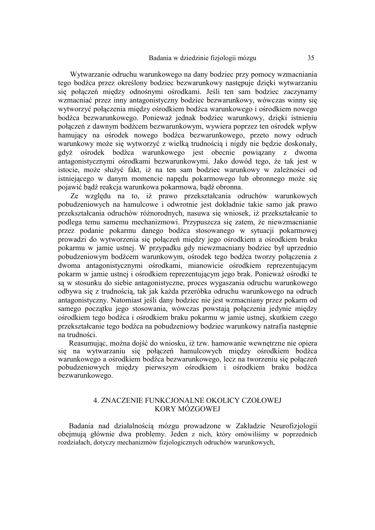Wytwarzanie odruchu warunkowego na dany bodziec przy pomocy wzmacniania tego bodźca przez określony bodziec bezwarunkowy następuje dzięki wytwarzaniu się połączeń między odnośnymi ośrodkami. Jeśli ten sam bodziec zaczynamy wzmacniać przez inny antagonistyczny bodziec bezwarunkowy, wówczas winny się wytworzyć połączenia między ośrodkiem bodźca warunkowego i ośrodkiem nowego bodźca bezwarunkowego. Ponieważ jednak bodziec warunkowy, dzięki istnieniu połączeń z dawnym bodźcem bezwarunkowym, wywiera poprzez ten ośrodek wpływ hamujący na ośrodek nowego bodźca bezwarunkowego, przeto nowy odruch warunkowy może się wytworzyć z wielką trudnością i nigdy nie będzie doskonały, gdyż ośrodek bodźca warunkowego jest obecnie powiązany z dwoma antagonistycznymi ośrodkami bezwarunkowymi. Jako dowód tego, że tak jest w istocie, może służyć fakt, iż na ten sam bodziec warunkowy w zależności od istniejącego w danym momencie napędu pokarmowego lub obronnego może się pojawić bądź reakcja warunkowa pokarmowa, bądź obronna.

 Ze względu na to, iż prawo przekształcania odruchów warunkowych pobudzeniowych na hamulcowe i odwrotnie jest dokładnie takie samo jak prawo przekształcania odruchów różnorodnych, nasuwa się wniosek, iż przekształcanie to podlega temu samemu mechanizmowi. Przypuszcza się zatem, że niewzmacnianie przez podanie pokarmu danego bodźca stosowanego w sytuacji pokarmowej prowadzi do wytworzenia się połączeń między jego ośrodkiem a ośrodkiem braku pokarmu w jamie ustnej. W przypadku gdy niewzmacniany bodziec był uprzednio pobudzeniowym bodźcem warunkowym, ośrodek tego bodźca tworzy połączenia z dwoma antagonistycznymi ośrodkami, mianowicie ośrodkiem reprezentującym pokarm w jamie ustnej i ośrodkiem reprezentującym jego brak. Ponieważ ośrodki te są w stosunku do siebie antagonistyczne, proces wygaszania odruchu warunkowego odbywa się z trudnością, tak jak każda przeróbka odruchu warunkowego na odruch antagonistyczny. Natomiast jeśli dany bodziec nie jest wzmacniany przez pokarm od samego początku jego stosowania, wówczas powstają połączenia jedynie między ośrodkiem tego bodźca i ośrodkiem braku pokarmu w jamie ustnej, skutkiem czego przekształcanie tego bodźca na pobudzeniowy bodziec warunkowy natrafia następnie na trudności.

Reasumując, można dojść do wniosku, iż tzw. hamowanie wewnętrzne nie opiera się na wytwarzaniu się połączeń hamulcowych między ośrodkiem bodźca warunkowego a ośrodkiem bodźca bezwarunkowego, lecz na tworzeniu się połączeń pobudzeniowych między pierwszym ośrodkiem i ośrodkiem braku bodźca bezwarunkowego.

### 4. ZNACZENIE FUNKCJONALNE OKOLICY CZOŁOWEJ KORY MÓZGOWEJ

Badania nad działalnością mózgu prowadzone w Zakładzie Neurofizjologii obejmują głównie dwa problemy. Jeden z nich, który omówiliśmy w poprzednich rozdziałach, dotyczy mechanizmów fizjologicznych odruchów warunkowych,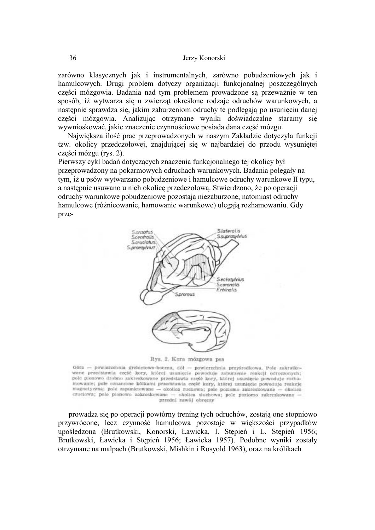zarówno klasycznych jak i instrumentalnych, zarówno pobudzeniowych jak i hamulcowych. Drugi problem dotyczy organizacji funkcjonalnej poszczególnych części mózgowia. Badania nad tym problemem prowadzone są przeważnie w ten sposób, iż wytwarza się u zwierząt określone rodzaje odruchów warunkowych, a następnie sprawdza się, jakim zaburzeniom odruchy te podlegają po usunięciu danej części mózgowia. Analizując otrzymane wyniki doświadczalne staramy się wywnioskować, jakie znaczenie czynnościowe posiada dana część mózgu.

Największa ilość prac przeprowadzonych w naszym Zakładzie dotyczyła funkcji tzw. okolicy przedczołowej, znajdującej się w najbardziej do przodu wysuniętej części mózgu (rys. 2).

Pierwszy cykl badań dotyczących znaczenia funkcjonalnego tej okolicy był przeprowadzony na pokarmowych odruchach warunkowych. Badania polegały na tym, iż u psów wytwarzano pobudzeniowe i hamulcowe odruchy warunkowe II typu, a następnie usuwano u nich okolicę przedczołową. Stwierdzono, że po operacji odruchy warunkowe pobudzeniowe pozostają niezaburzone, natomiast odruchy hamulcowe (różnicowanie, hamowanie warunkowe) ulegają rozhamowaniu. Gdy prze-



Rys. 2. Kora mózgowa psa

Góra - powierzchnia grzbietowo-boczna, dół - powierzchnia przyśrodkowa. Pole zakratkowane przedstawia część kory, której usunięcie powoduje zaburzenie reakcji odroczonych; pole pionowo drobno zakreskowane przedstawia ezęść kory, której usunięcie powoduje rozhamowanie; pole oznaczone kólkami przedstawia część kory, której usunięcie powoduje reakcje magnetyczną: pole zapunktowane - okolica ruchowa; pole poziomo zakreskowane - okolica czuciowa; pole pionowo zakreskowane - okolica słuchowa; pole poziomo zakreskowane przedni zawój obręczy

prowadza się po operacji powtórny trening tych odruchów, zostają one stopniowo przywrócone, lecz czynność hamulcowa pozostaje w większości przypadków upośledzona (Brutkowski, Konorski, Ławicka, I. Stępień i L. Stępień 1956; Brutkowski, Ławicka i Stępień 1956; Ławicka 1957). Podobne wyniki zostały otrzymane na małpach (Brutkowski, Mishkin i Rosyold 1963), oraz na królikach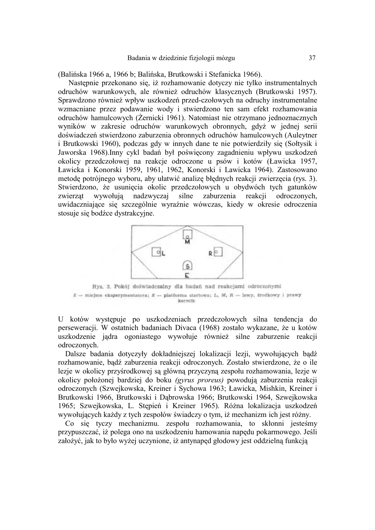(Balińska 1966 a, 1966 b; Balińska, Brutkowski i Stefanicka 1966).

Następnie przekonano się, iż rozhamowanie dotyczy nie tylko instrumentalnych odruchów warunkowych, ale również odruchów klasycznych (Brutkowski 1957). Sprawdzono również wpływ uszkodzeń przed-czołowych na odruchy instrumentalne wzmacniane przez podawanie wody i stwierdzono ten sam efekt rozhamowania odruchów hamulcowych (Żernicki 1961). Natomiast nie otrzymano jednoznacznych wyników w zakresie odruchów warunkowych obronnych, gdyż w jednej serii doświadczeń stwierdzono zaburzenia obronnych odruchów hamulcowych (Auleytner i Brutkowski 1960), podczas gdy w innych dane te nie potwierdziły się (Sołtysik i Jaworska 1968).Inny cykl badań był poświęcony zagadnieniu wpływu uszkodzeń okolicy przedczołowej na reakcje odroczone u psów i kotów (Ławicka 1957, Ławicka i Konorski 1959, 1961, 1962, Konorski i Lawicka 1964). Zastosowano metodę potrójnego wyboru, aby ułatwić analizę błędnych reakcji zwierzęcia (rys. 3). Stwierdzono, że usunięcia okolic przedczołowych u obydwóch tych gatunków<br>zwierząt wywołują nadzwyczaj silne zaburzenia reakcji odroczonych, zwierząt wywołują nadzwyczaj silne zaburzenia reakcji odroczonych, uwidaczniające się szczególnie wyraźnie wówczas, kiedy w okresie odroczenia stosuje się bodźce dystrakcyjne.



Rys. 3. Pokój doświadczalny dla badań nad reakcjami odroczonymi  $E =$  miejsce eksperymentatora;  $S =$  platforma startowa; L. M. R = lewy, irodkowy i prawy karmik

U kotów występuje po uszkodzeniach przedczołowych silna tendencja do perseweracji. W ostatnich badaniach Divaca (1968) zostało wykazane, że u kotów uszkodzenie jądra ogoniastego wywołuje również silne zaburzenie reakcji odroczonych.

Dalsze badania dotyczyły dokładniejszej lokalizacji lezji, wywołujących bądź rozhamowanie, bądź zaburzenia reakcji odroczonych. Zostało stwierdzone, że o ile lezje w okolicy przyśrodkowej są główną przyczyną zespołu rozhamowania, lezje w okolicy położonej bardziej do boku *(gyrus proreus)* powodują zaburzenia reakcji odroczonych (Szwejkowska, Kreiner i Sychowa 1963; Ławicka, Mishkin, Kreiner i Brutkowski 1966, Brutkowski i Dąbrowska 1966; Brutkowski 1964, Szwejkowska 1965; Szwejkowska, L. Stępień i Kreiner 1965). Różna lokalizacja uszkodzeń wywołujących każdy z tych zespołów świadczy o tym, iż mechanizm ich jest różny.

Co się tyczy mechanizmu. zespołu rozhamowania, to skłonni jesteśmy przypuszczać, iż polega ono na uszkodzeniu hamowania napędu pokarmowego. Jeśli założyć, jak to było wyżej uczynione, iż antynapęd głodowy jest oddzielną funkcją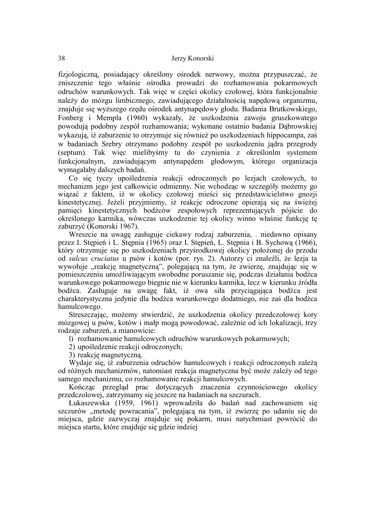fizjologiczną, posiadający określony ośrodek nerwowy, można przypuszczać, że zniszczenie tego właśnie ośrodka prowadzi do rozhamowania pokarmowych odruchów warunkowych. Tak więc w części okolicy czołowej, która funkcjonalnie należy do mózgu limbicznego, zawiadującego działalnością napędową organizmu, znajduje się wyższego rzędu ośrodek antynapędowy głodu. Badania Brutkowskiego, Fonberg i Mempla (1960) wykazały, że uszkodzenia zawoju gruszkowatego powodują podobny zespół rozhamowania; wykonane ostatnio badania Dąbrowskiej wykazują, iż zaburzenie to otrzymuje się również po uszkodzeniach hippocampa, zaś w badaniach Srebry otrzymano podobny zespół po uszkodzeniu jądra przegrody (septum). Tak więc mielibyśmy tu do czynienia z określonlm systemem funkcjonalnym, zawiadującym antynapędem głodowym, którego organizacja wymagałaby dalszych badań.

Co się tyczy upośledzenia reakcji odroczonych po lezjach czołowych, to mechanizm jego jest całkowicie odmienny. Nie wchodząc w szczegóły możemy go wiązać z faktem, iż w okolicy czołowej mieści się przedstawicielstwo gnozji kinestetycznej. Jeżeli przyjmiemy, iż reakcje odroczone opierają się na świeżej pamięci kinestetycznych bodźców zespołowych reprezentujących pójście do określonego karmika, wówczas uszkodzenie tej okolicy winno właśnie funkcję tę zaburzyć (Konorski 1967).

Wreszcie na uwagę zasługuje ciekawy rodzaj zaburzenia, . niedawno opisany przez I. Stępień i L. Stępnia (1965) oraz I. Stępień, L. Stępnia i B. Sychową (1966), który otrzymuje się po uszkodzeniach przyśrodkowej okolicy położonej do przodu od *sulcus cruciatus* u psów i kotów (por. rys. 2). Autorzy ci znaleźli, że lezja ta wywołuje "reakcję magnetyczną", polegającą na tym, że zwierzę, znajdując się w pomieszczeniu umożliwiającym swobodne poruszanie się, podczas działania bodźca warunkowego pokarmowego biegnie nie w kierunku karmika, lecz w kierunku źródła bodźca. Zasługuje na uwagę fakt, iż owa siła przyciągająca bodźca jest charakterystyczna jedynie dla bodźca warunkowego dodatniego, nie zaś dla bodźca hamulcowego.

Streszczając, możemy stwierdzić, że uszkodzenia okolicy przedczołowej kory mózgowej u psów, kotów i małp mogą powodować, zależnie od ich lokalizacji, trzy rodzaje zaburzeń, a mianowicie:

l) rozhamowanie hamulcowych odruchów warunkowych pokarmowych;

2) upośledzenie reakcji odroczonych;

3) reakcję magnetyczną.

Wydaje się, iż zaburzenia odruchów hamulcowych i reakcji odroczonych zależą od różnych mechanizmów, natomiast reakcja magnetyczna być może zależy od tego samego mechanizmu, co rozhamowanie reakcji hamulcowych.

Kończąc przegląd prac dotyczących znaczenia czynnościowego okolicy przedczolowej, zatrzymamy się jeszcze na badaniach na szczurach.

Łukaszewska (1959, 1961) wprowadziła do badań nad zachowaniem się szczurów "metodę powracania", polegającą na tym, iż zwierzę po udaniu się do miejsca, gdzie zazwyczaj znajduje się pokarm, musi natychmiast powrócić do miejsca startu, które znajduje się gdzie indziej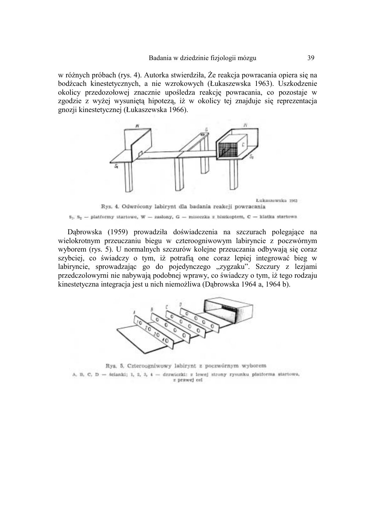w różnych próbach (rys. 4). Autorka stwierdziła, Że reakcja powracania opiera się na bodźcach kinestetycznych, a nie wzrokowych (Łukaszewska 1963). Uszkodzenie okolicy przedozołowej znacznie upośledza reakcję powracania, co pozostaje w zgodzie z wyżej wysuniętą hipotezą, iż w okolicy tej znajduje się reprezentacja gnozji kinestetycznej (Łukaszewska 1966).



 $s_1$ ,  $s_2$  - platformy startowe, W - zasłony, G - miseczka z biszkoptem, C - klatka startowa

Dąbrowska (1959) prowadziła doświadczenia na szczurach polegające na wielokrotnym przeuczaniu biegu w czteroogniwowym labiryncie z poczwórnym wyborem (rys. 5). U normalnych szczurów kolejne przeuczania odbywają się coraz szybciej, co świadczy o tym, iż potrafią one coraz lepiej integrować bieg w labiryncie, sprowadzając go do pojedynczego "zygzaku". Szczury z lezjami przedczolowyrni nie nabywają podobnej wprawy, co świadczy o tym, iż tego rodzaju kinestetyczna integracja jest u nich niemożliwa (Dąbrowska 1964 a, 1964 b).



Rys. 5. Czteroogniwowy labirynt z poczwórnym wyborem A, B, C, D - ścianki; I, 2, 3, 4 - drzwiezki: z lewej strony rysunku platforma startowa, z prawej cel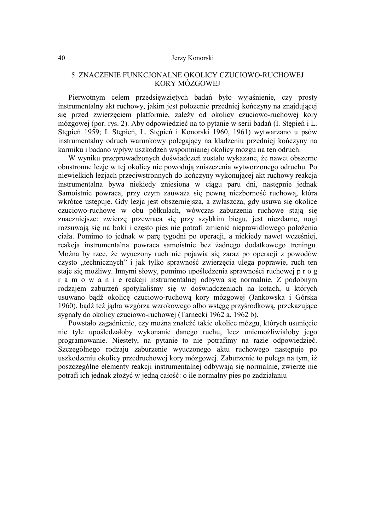# 5. ZNACZENIE FUNKCJONALNE OKOLICY CZUCIOWO-RUCHOWEJ KORY MÓZGOWEJ

Pierwotnym celem przedsięwziętych badań było wyjaśnienie, czy prosty instrumentalny akt ruchowy, jakim jest położenie przedniej kończyny na znajdującej się przed zwierzęciem platformie, zależy od okolicy czuciowo-ruchowej kory mózgowej (por. rys. 2). Aby odpowiedzieć na to pytanie w serii badań (I. Stępień i L. Stępień 1959; I. Stępień, L. Stępień i Konorski 1960, 1961) wytwarzano u psów instrumentalny odruch warunkowy polegający na kładzeniu przedniej kończyny na karmiku i badano wpływ uszkodzeń wspomnianej okolicy mózgu na ten odruch.

W wyniku przeprowadzonych doświadczeń zostało wykazane, że nawet obszerne obustronne lezje w tej okolicy nie powodują zniszczenia wytworzonego odruchu. Po niewielkich lezjach przeciwstronnych do kończyny wykonującej akt ruchowy reakcja instrumentalna bywa niekiedy zniesiona w ciągu paru dni, następnie jednak Samoistnie powraca, przy czym zauważa się pewną niezborność ruchową, która wkrótce ustępuje. Gdy lezja jest obszerniejsza, a zwłaszcza, gdy usuwa się okolice czuciowo-ruchowe w obu półkulach, wówczas zaburzenia ruchowe stają się znaczniejsze: zwierzę przewraca się przy szybkim biegu, jest niezdarne, nogi rozsuwają się na boki i często pies nie potrafi zmienić nieprawidłowego położenia ciała. Pomimo to jednak w parę tygodni po operacji, a niekiedy nawet wcześniej, reakcja instrumentalna powraca samoistnie bez żadnego dodatkowego treningu. Można by rzec, że wyuczony ruch nie pojawia się zaraz po operacji z powodów czysto "technicznych" i jak tylko sprawność zwierzęcia ulega poprawie, ruch ten staje się możliwy. Innymi słowy, pomimo upośledzenia sprawności ruchowej p r o g r a m o w a n i e reakcji instrumentalnej odbywa się normalnie. Z podobnym rodzajem zaburzeń spotykaliśmy się w doświadczeniach na kotach, u których usuwano bądź okolicę czuciowo-ruchową kory mózgowej (Jankowska i Górska 1960), bądź też jądra wzgórza wzrokowego albo wstęgę przyśrodkową, przekazujące sygnały do okolicy czuciowo-ruchowej (Tarnecki 1962 a, 1962 b).

Powstało zagadnienie, czy można znaleźć takie okolice mózgu, których usunięcie nie tyle upośledzałoby wykonanie danego ruchu, lecz uniemożliwiałoby jego programowanie. Niestety, na pytanie to nie potrafimy na razie odpowiedzieć. Szczególnego rodzaju zaburzenie wyuczonego aktu ruchowego następuje po uszkodzeniu okolicy przedruchowej kory mózgowej. Zaburzenie to polega na tym, iż poszczególne elementy reakcji instrumentalnej odbywają się normalnie, zwierzę nie potrafi ich jednak złożyć w jedną całość: o ile normalny pies po zadziałaniu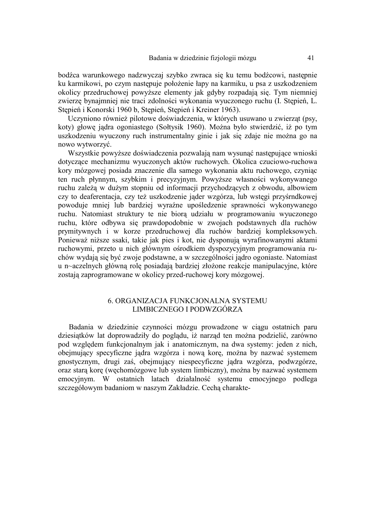bodźca warunkowego nadzwyczaj szybko zwraca się ku temu bodźcowi, następnie ku karmikowi, po czym następuje położenie łapy na karmiku, u psa z uszkodzeniem okolicy przedruchowej powyższe elementy jak gdyby rozpadają się. Tym niemniej zwierzę bynajmniej nie traci zdolności wykonania wyuczonego ruchu (I. Stępień, L. Stępień i Konorski 1960 b, Stępień, Stępień i Kreiner 1963).

Uczyniono również pilotowe doświadczenia, w których usuwano u zwierząt (psy, koty) głowę jądra ogoniastego (Sołtysik 1960). Można było stwierdzić, iż po tym uszkodzeniu wyuczony ruch instrumentalny ginie i jak się zdaje nie można go na nowo wytworzyć.

Wszystkie powyższe doświadczenia pozwalają nam wysunąć następujące wnioski dotyczące mechanizmu wyuczonych aktów ruchowych. Okolica czuciowo-ruchowa kory mózgowej posiada znaczenie dla samego wykonania aktu ruchowego, czyniąc ten ruch płynnym, szybkim i precyzyjnym. Powyższe własności wykonywanego ruchu zależą w dużym stopniu od informacji przychodzących z obwodu, albowiem czy to deaferentacja, czy też uszkodzenie jąder wzgórza, lub wstęgi przyśrndkowej powoduje mniej lub bardziej wyraźne upośledzenie sprawności wykonywanego ruchu. Natomiast struktury te nie biorą udziału w programowaniu wyuczonego ruchu, które odbywa się prawdopodobnie w zwojach podstawnych dla ruchów prymitywnych i w korze przedruchowej dla ruchów bardziej kompleksowych. Ponieważ niższe ssaki, takie jak pies i kot, nie dysponują wyrafinowanymi aktami ruchowymi, przeto u nich głównym ośrodkiem dyspozycyjnym programowania ruchów wydają się być zwoje podstawne, a w szczególności jądro ogoniaste. Natomiast u n~aczelnych główną rolę posiadają bardziej złożone reakcje manipulacyjne, które zostają zaprogramowane w okolicy przed-ruchowej kory mózgowej.

# 6. ORGANIZACJA FUNKCJONALNA SYSTEMU LIMBICZNEGO I PODWZGÓRZA

Badania w dziedzinie czynności mózgu prowadzone w ciągu ostatnich paru dziesiątków lat doprowadziły do poglądu, iż narząd ten można podzielić, zarówno pod względem funkcjonalnym jak i anatomicznym, na dwa systemy: jeden z nich, obejmujący specyficzne jądra wzgórza i nową korę, można by nazwać systemem gnostycznym, drugi zaś, obejmujący niespecyficzne jądra wzgórza, podwzgórze, oraz starą korę (węchomózgowe lub system limbiczny), można by nazwać systemem emocyjnym. W ostatnich latach działalność systemu emocyjnego podlega szczegółowym badaniom w naszym Zakładzie. Cechą charakte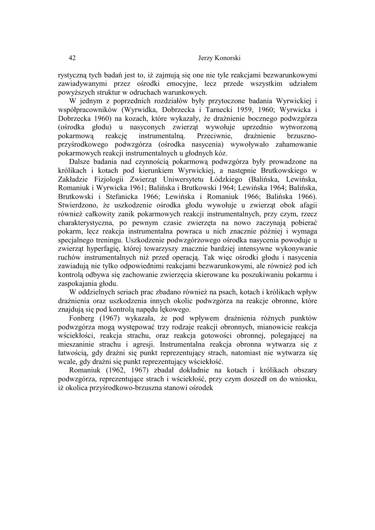rystyczną tych badań jest to, iż zajmują się one nie tyle reakcjami bezwarunkowymi zawiadywanymi przez ośrodki emocyjne, lecz przede wszystkim udziałem powyższych struktur w odruchach warunkowych.

W jednym z poprzednich rozdziałów były przytoczone badania Wyrwickiej i współpracowników (Wyrwidka, Dobrzecka i Tarnecki 1959, 1960; Wyrwicka i Dobrzecka 1960) na kozach, które wykazały, że drażnienie bocznego podwzgórza (ośrodka głodu) u nasyconych zwierząt wywołuje uprzednio wytworzoną pokarmową reakcję instrumentalną. Przeciwnie, drażnienie brzusznoprzyśrodkowego podwzgórza (ośrodka nasycenia) wywoływało zahamowanie pokarmowych reakcji instrumentalnych u głodnych kóz.

Dalsze badania nad czynnością pokarmową podwzgórza były prowadzone na królikach i kotach pod kierunkiem Wyrwickiej, a następnie Brutkowskiego w Zakładzie Fizjologii Zwierząt Uniwersytetu Łódzkiego (Balińska, Lewińska, Romaniuk i Wyrwicka 1961; Balińska i Brutkowski 1964; Lewińska 1964; Balińska, Brutkowski i Stefanicka 1966; Lewińska i Romaniuk 1966; Balińska 1966). Stwierdzono, że uszkodzenie ośrodka głodu wywołuje u zwierząt obok afagii również całkowity zanik pokarmowych reakcji instrumentalnych, przy czym, rzecz charakterystyczna, po pewnym czasie zwierzęta na nowo zaczynają pobierać pokarm, lecz reakcja instrumentalna powraca u nich znacznie później i wymaga specjalnego treningu. Uszkodzenie podwzgórzowego ośrodka nasycenia powoduje u zwierząt hyperfagię, której towarzyszy znacznie bardziej intensywne wykonywanie ruchów instrumentalnych niż przed operacją. Tak więc ośrodki głodu i nasycenia zawiadują nie tylko odpowiednimi reakcjami bezwarunkowymi, ale również pod ich kontrolą odbywa się zachowanie zwierzęcia skierowane ku poszukiwaniu pokarmu i zaspokajania głodu.

W oddzielnych seriach prac zbadano również na psach, kotach i królikach wpływ drażnienia oraz uszkodzenia innych okolic podwzgórza na reakcje obronne, które znajdują się pod kontrolą napędu lękowego.

Fonberg (1967) wykazała, że pod wpływem drażnienia różnych punktów podwzgórza mogą występować trzy rodzaje reakcji obronnych, mianowicie reakcja wściekłości, reakcja strachu, oraz reakcja gotowości obronnej, polegającej na mieszaninie strachu i agresji. Instrumentalna reakcja obronna wytwarza się z łatwością, gdy drażni się punkt reprezentujący strach, natomiast nie wytwarza się wcale, gdy drażni się punkt reprezentujący wściekłość.

Romaniuk (1962, 1967) zbadał dokładnie na kotach i królikach obszary podwzgórza, reprezentujące strach i wściekłość, przy czym doszedł on do wniosku, iż okolica przyśrodkowo-brzuszna stanowi ośrodek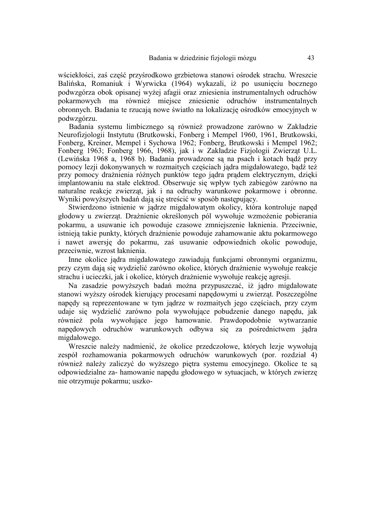wściekłości, zaś część przyśrodkowo grzbietowa stanowi ośrodek strachu. Wreszcie Balińska, Romaniuk i Wyrwicka (1964) wykazali, iż po usunięciu bocznego podwzgórza obok opisanej wyżej afagii oraz zniesienia instrumentalnych odruchów pokarmowych ma również miejsce zniesienie odruchów instrumentalnych obronnych. Badania te rzucają nowe światło na lokalizację ośrodków emocyjnych w podwzgórzu.

Badania systemu limbicznego są również prowadzone zarówno w Zakładzie Neurofizjologii Instytutu (Brutkowski, Fonberg i Mempel 1960, 1961, Brutkowski, Fonberg, Kreiner, Mempel i Sychowa 1962; Fonberg, Brutkowski i Mempel 1962; Fonberg 1963; Fonberg 1966, 1968), jak i w Zakładzie Fizjologii Zwierząt U.L. (Lewińska 1968 a, 1968 b). Badania prowadzone są na psach i kotach bądź przy pomocy lezji dokonywanych w rozmaitych częściach jądra migdałowatego, bądź też przy pomocy drażnienia różnych punktów tego jądra prądem elektrycznym, dzięki implantowaniu na stałe elektrod. Obserwuje się wpływ tych zabiegów zarówno na naturalne reakcje zwierząt, jak i na odruchy warunkowe pokarmowe i obronne. Wyniki powyższych badań dają się streścić w sposób następujący.

Stwierdzono istnienie w jądrze migdałowatym okolicy, która kontroluje napęd głodowy u zwierząt. Drażnienie określonych pól wywołuje wzmożenie pobierania pokarmu, a usuwanie ich powoduje czasowe zmniejszenie łaknienia. Przeciwnie, istnieją takie punkty, których drażnienie powoduje zahamowanie aktu pokarmowego i nawet awersję do pokarmu, zaś usuwanie odpowiednich okolic powoduje, przeciwnie, wzrost łaknienia.

Inne okolice jądra migdałowatego zawiadują funkcjami obronnymi organizmu, przy czym dają się wydzielić zarówno okolice, których drażnienie wywołuje reakcje strachu i ucieczki, jak i okolice, których drażnienie wywołuje reakcję agresji.

Na zasadzie powyższych badań można przypuszczać, iż jądro migdałowate stanowi wyższy ośrodek kierujący procesami napędowymi u zwierząt. Poszczególne napędy są reprezentowane w tym jądrze w rozmaitych jego częściach, przy czym udaje się wydzielić zarówno pola wywołujące pobudzenie danego napędu, jak również pola wywołujące jego hamowanie. Prawdopodobnie wytwarzanie napędowych odruchów warunkowych odbywa się za pośrednictwem jądra migdałowego.

Wreszcie należy nadmienić, że okolice przedczołowe, których lezje wywołują zespół rozhamowania pokarmowych odruchów warunkowych (por. rozdział 4) również należy zaliczyć do wyższego piętra systemu emocyjnego. Okolice te są odpowiedzialne za- hamowanie napędu głodowego w sytuacjach, w których zwierzę nie otrzymuje pokarmu; uszko-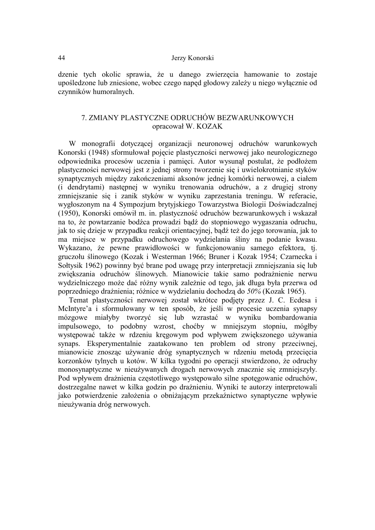dzenie tych okolic sprawia, że u danego zwierzęcia hamowanie to zostaje upośledzone lub zniesione, wobec czego napęd głodowy zależy u niego wyłącznie od czynników humoralnych.

# 7. ZMIANY PLASTYCZNE ODRUCHÓW BEZWARUNKOWYCH opracował W. KOZAK

W monografii dotyczącej organizacji neuronowej odruchów warunkowych Konorski (1948) sformułował pojęcie plastyczności nerwowej jako neurologicznego odpowiednika procesów uczenia i pamięci. Autor wysunął postulat, że podłożem plastyczności nerwowej jest z jednej strony tworzenie się i uwielokrotnianie styków synaptycznych między zakończeniami aksonów jednej komórki nerwowej, a ciałem (i dendrytami) następnej w wyniku trenowania odruchów, a z drugiej strony zmniejszanie się i zanik styków w wyniku zaprzestania treningu. W referacie, wygłoszonym na 4 Sympozjum brytyjskiego Towarzystwa Biologii Doświadczalnej (1950), Konorski omówił m. in. plastyczność odruchów bezwarunkowych i wskazał na to, że powtarzanie bodźca prowadzi bądź do stopniowego wygaszania odruchu, jak to się dzieje w przypadku reakcji orientacyjnej, bądź też do jego torowania, jak to ma miejsce w przypadku odruchowego wydzielania śliny na podanie kwasu. Wykazano, że pewne prawidłowości w funkcjonowaniu samego efektora, tj. gruczołu ślinowego (Kozak i Westerman 1966; Bruner i Kozak 1954; Czarnecka i Sołtysik 1962) powinny być brane pod uwagę przy interpretacji zmniejszania się lub zwiększania odruchów ślinowych. Mianowicie takie samo podrażnienie nerwu wydzielniczego może dać różny wynik zależnie od tego, jak długa była przerwa od poprzedniego drażnienia; różnice w wydzielaniu dochodzą do *50%* (Kozak 1965).

Temat plastyczności nerwowej został wkrótce podjęty przez J. C. Ecdesa i McIntyre'a i sformułowany w ten sposób, że jeśli w procesie uczenia synapsy mózgowe miałyby tworzyć się lub wzrastać w wyniku bombardowania impulsowego, to podobny wzrost, choćby w mniejszym stopniu, mógłby występować także w rdzeniu kręgowym pod wpływem zwiększonego używania synaps. Eksperymentalnie zaatakowano ten problem od strony przeciwnej, mianowicie znosząc używanie dróg synaptycznych w rdzeniu metodą przecięcia korzonków tylnych u kotów. W kilka tygodni po operacji stwierdzono, że odruchy monosynaptyczne w nieużywanych drogach nerwowych znacznie się zmniejszyły. Pod wpływem drażnienia częstotliwego występowało silne spotęgowanie odruchów, dostrzegalne nawet w kilka godzin po drażnieniu. Wyniki te autorzy interpretowali jako potwierdzenie założenia o obniżającym przekaźnictwo synaptyczne wpływie nieużywania dróg nerwowych.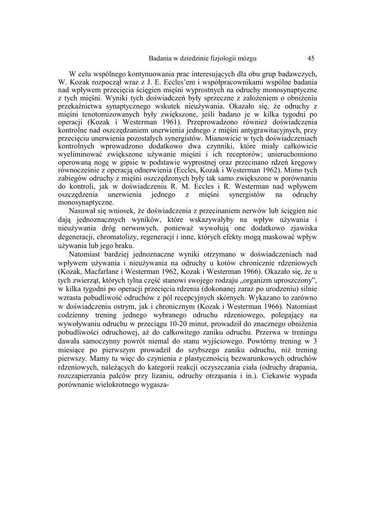W celu wspólnego kontynuowania prac interesujących dla obu grup badawczych, W. Kozak rozpoczął wraz z J. E. Eccles'em i współpracownikami wspólne badania nad wpływem przecięcia ścięgien mięśni wyprostnych na odruchy monosynaptyczne z tych mięśni. Wyniki tych doświadczeń były sprzeczne z założeniem o obniżeniu przekaźnictwa synaptycznego wskutek nieużywania. Okazało się, że odruchy z mięśni tenotomizowanych były zwiększone, jeśli badano je w kilka tygodni po operacji (Kozak i Westerman 1961). Przeprowadzono również doświadczenia kontrolne nad oszczędzaniem unerwienia jednego z mięśni antygrawitacyjnych, przy przecięciu unerwienia pozostałych synergistów. Mianowicie w tych doświadczeniach kontrolnych wprowadzono dodatkowo dwa czynniki, które miały całkowicie wyeliminować zwiększone używanie mięśni i ich receptorów; unieruchomiono operowaną nogę w gipsie w podstawie wyprostnej oraz przecinano rdzeń kręgowy równocześnie z operacją odnerwienia (Eccles, Kozak i Westerman 1962). Mimo tych zabiegów odruchy z mięśni oszczędzonych były tak samo zwiększone w porównaniu do kontroli, jak w doświadczeniu R. M. Eccles i R. Westerman nad wpływem oszczędzenia unerwienia jednego z mięśni synergistów na odruchy monosynaptyczne.

Nasuwał się wniosek, że doświadczenia z przecinaniem nerwów lub ścięgien nie dają jednoznacznych wyników, które wskazywałyby na wpływ używania i nieużywania dróg nerwowych, ponieważ wywołują one dodatkowo zjawiska degeneracji, chromatolizy, regeneracji i inne, których efekty mogą maskować wpływ używania lub jego braku.

Natomiast bardziej jednoznaczne wyniki otrzymano w doświadczeniach nad wpływem używania i nieużywania na odruchy u kotów chronicznie rdzeniowych (Kozak, Macfarlane i Westerman 1962, Kozak i Westerman 1966). Okazało się, że u tych zwierząt, których tylna część stanowi swojego rodzaju "organizm uproszczony", w kilka tygodni po operacji przecięcia rdzenia (dokonanej zaraz po urodzeniu) silnie wzrasta pobudliwość odruchów z pól recepcyjnych skórnych. Wykazano to zarówno w doświadczeniu ostrym, jak i chronicznym (Kozak i Westerman 1966). Natomiast codzienny trening jednego wybranego odruchu rdzeniowego, polegający na wywoływaniu odruchu w przeciągu 10-20 minut, prowadził do znacznego obniżenia pobudliwości odruchowej, aż do całkowitego zaniku odruchu. Przerwa w treningu dawała samoczynny powrót niemal do stanu wyjściowego. Powtórny trening w 3 miesiące po pierwszym prowadził do szybszego zaniku odruchu, niż trening pierwszy. Mamy tu więc do czynienia z plastycznością bezwarunkowych odruchów rdzeniowych, należących do kategorii reakcji oczyszczania ciała (odruchy drapania, rozczapierzania palców przy lizaniu, odruchy otrząsania i in.). Ciekawie wypada porównanie wielokrotnego wygasza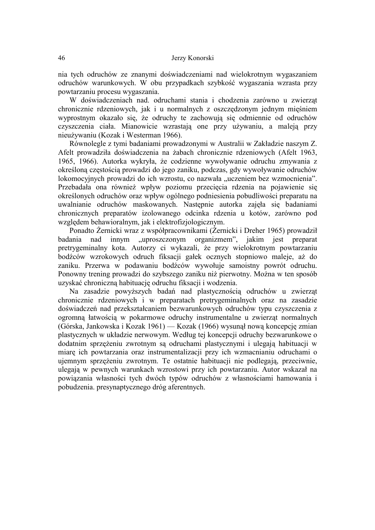nia tych odruchów ze znanymi doświadczeniami nad wielokrotnym wygaszaniem odruchów warunkowych. W obu przypadkach szybkość wygaszania wzrasta przy powtarzaniu procesu wygaszania.

W doświadczeniach nad. odruchami stania i chodzenia zarówno u zwierząt chronicznie rdzeniowych, jak i u normalnych z oszczędzonym jednym mięśniem wyprostnym okazało się, że odruchy te zachowują się odmiennie od odruchów czyszczenia ciała. Mianowicie wzrastają one przy używaniu, a maleją przy nieużywaniu (Kozak i Westerman 1966).

Równolegle z tymi badaniami prowadzonymi w Australii w Zakładzie naszym Z. Afelt prowadziła doświadczenia na żabach chronicznie rdzeniowych (Afelt 1963, 1965, 1966). Autorka wykryła, że codzienne wywoływanie odruchu zmywania z określoną częstością prowadzi do jego zaniku, podczas, gdy wywoływanie odruchów lokomocyjnych prowadzi do ich wzrostu, co nazwała "uczeniem bez wzmocnienia". Przebadała ona również wpływ poziomu przecięcia rdzenia na pojawienie się określonych odruchów oraz wpływ ogólnego podniesienia pobudliwości preparatu na uwalnianie odruchów maskowanych. Następnie autorka zajęła się badaniami chronicznych preparatów izolowanego odcinka rdzenia u kotów, zarówno pod względem behawioralnym, jak i elektrofizjologicznym.

Ponadto Żernicki wraz z współpracownikami (Żernicki i Dreher 1965) prowadził badania nad innym "uproszczonym organizmem", jakim jest preparat pretrygeminalny kota. Autorzy ci wykazali, że przy wielokrotnym powtarzaniu bodźców wzrokowych odruch fiksacji gałek ocznych stopniowo maleje, aż do zaniku. Przerwa w podawaniu bodźców wywołuje samoistny powrót odruchu. Ponowny trening prowadzi do szybszego zaniku niż pierwotny. Można w ten sposób uzyskać chroniczną habituację odruchu fiksacji i wodzenia.

Na zasadzie powyższych badań nad plastycznością odruchów u zwierząt chronicznie rdzeniowych i w preparatach pretrygeminalnych oraz na zasadzie doświadczeń nad przekształcaniem bezwarunkowych odruchów typu czyszczenia z ogromną łatwością w pokarmowe odruchy instrumentalne u zwierząt normalnych (Górska, Jankowska i Kozak 1961) — Kozak (1966) wysunął nową koncepcję zmian plastycznych w układzie nerwowym. Według tej koncepcji odruchy bezwarunkowe o dodatnim sprzężeniu zwrotnym są odruchami plastycznymi i ulegają habituacji w miarę ich powtarzania oraz instrumentalizacji przy ich wzmacnianiu odruchami o ujemnym sprzężeniu zwrotnym. Te ostatnie habituacji nie podlegają, przeciwnie, ulegają w pewnych warunkach wzrostowi przy ich powtarzaniu. Autor wskazał na powiązania własności tych dwóch typów odruchów z własnościami hamowania i pobudzenia. presynaptycznego dróg aferentnych.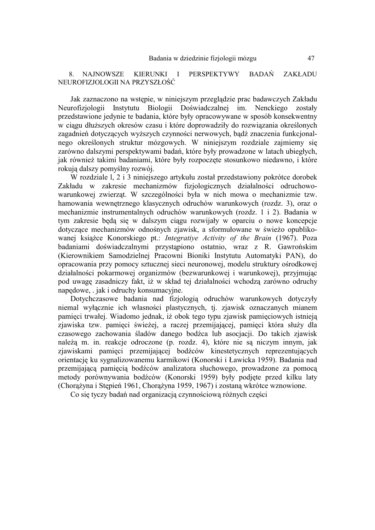8. NAJNOWSZE KIERUNKI I PERSPEKTYWY BADAŃ ZAKŁADU NEUROFIZJOLOGII NA PRZYSZŁOŚĆ

Jak zaznaczono na wstępie, w niniejszym przeglądzie prac badawczych Zakładu Neurofizjologii Instytutu Biologii Doświadczalnej im. Nenckiego zostały przedstawione jedynie te badania, które były opracowywane w sposób konsekwentny w ciągu dłuższych okresów czasu i które doprowadziły do rozwiązania określonych zagadnień dotyczących wyższych czynności nerwowych, bądź znaczenia funkcjonalnego określonych struktur mózgowych. W niniejszym rozdziale zajmiemy się zarówno dalszymi perspektywami badań, które były prowadzone w latach ubiegłych, jak również takimi badaniami, które były rozpoczęte stosunkowo niedawno, i które rokują dalszy pomyślny rozwój.

W rozdziale l, 2 i 3 niniejszego artykułu został przedstawiony pokrótce dorobek Zakładu w zakresie mechanizmów fizjologicznych działalności odruchowowarunkowej zwierząt. W szczególności była w nich mowa o mechanizmie tzw. hamowania wewnętrznego klasycznych odruchów warunkowych (rozdz. 3), oraz o mechanizmie instrumentalnych odruchów warunkowych (rozdz. 1 i 2). Badania w tym zakresie będą się w dalszym ciągu rozwijały w oparciu o nowe koncepcje dotyczące mechanizmów odnośnych zjawisk, a sformułowane w świeżo opublikowanej książce Konorskiego pt.: *Integratiye Activity of the Brain* (1967). Poza badaniami doświadczalnymi przystąpiono ostatnio, wraz z R. Gawrońskim (Kierownikiem Samodzielnej Pracowni Bioniki Instytutu Automatyki PAN), do opracowania przy pomocy sztucznej sieci neuronowej, modelu struktury ośrodkowej działalności pokarmowej organizmów (bezwarunkowej i warunkowej), przyjmując pod uwagę zasadniczy fakt, iż w skład tej działalności wchodzą zarówno odruchy napędowe, . jak i odruchy konsumacyjne.

Dotychczasowe badania nad fizjologią odruchów warunkowych dotyczyły niemal wyłącznie ich własności plastycznych, tj. zjawisk oznaczanych mianem pamięci trwałej. Wiadomo jednak, iż obok tego typu zjawisk pamięciowych istnieją zjawiska tzw. pamięci świeżej, a raczej przemijającej, pamięci która służy dla czasowego zachowania śladów danego bodźca lub asocjacji. Do takich zjawisk należą m. in. reakcje odroczone (p. rozdz. 4), które nie są niczym innym, jak zjawiskami pamięci przemijającej bodźców kinestetycznych reprezentujących orientację ku sygnalizowanemu karmikowi (Konorski i Ławicka 1959). Badania nad przemijającą pamięcią bodźców analizatora słuchowego, prowadzone za pomocą metody porównywania bodźców (Konorski 1959) były podjęte przed kilku laty (Chorążyna i Stępień 1961, Chorążyna 1959, 1967) i zostaną wkrótce wznowione.

Co się tyczy badań nad organizacją czynnościową różnych części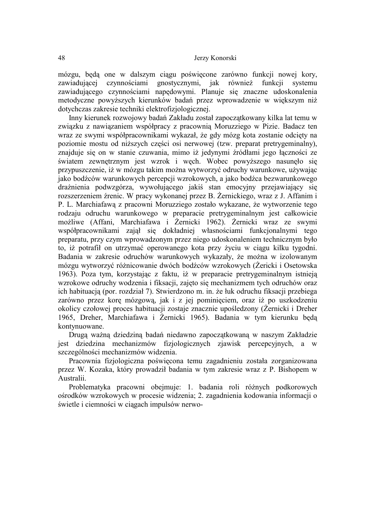mózgu, będą one w dalszym ciągu poświęcone zarówno funkcji nowej kory, zawiadującej czynnościami gnostycznymi, jak również funkcji systemu zawiadującego czynnościami napędowymi. Planuje się znaczne udoskonalenia metodyczne powyższych kierunków badań przez wprowadzenie w większym niż dotychczas zakresie techniki elektrofizjologicznej.

Inny kierunek rozwojowy badań Zakładu został zapoczątkowany kilka lat temu w związku z nawiązaniem współpracy z pracownią Moruzziego w Pizie. Badacz ten wraz ze swymi współpracownikami wykazał, że gdy mózg kota zostanie odcięty na poziomie mostu od niższych części osi nerwowej (tzw. preparat pretrygeminalny), znajduje się on w stanie czuwania, mimo iż jedynymi źródłami jego łączności ze światem zewnętrznym jest wzrok i węch. Wobec powyższego nasunęło się przypuszczenie, iż w mózgu takim można wytworzyć odruchy warunkowe, używając jako bodźców warunkowych percepcji wzrokowych, a jako bodźca bezwarunkowego drażnienia podwzgórza, wywołującego jakiś stan emocyjny przejawiający się rozszerzeniem źrenic. W pracy wykonanej przez B. Żernickiego, wraz z J. Affanim i P. L. Marchiafawą z pracowni Moruzziego zostało wykazane, że wytworzenie tego rodzaju odruchu warunkowego w preparacie pretrygeminalnym jest całkowicie możliwe (Affani, Marchiafawa i Żernicki 1962). Żernicki wraz ze swymi współpracownikami zajął się dokładniej własnościami funkcjonalnymi tego preparatu, przy czym wprowadzonym przez niego udoskonaleniem technicznym było to, iż potrafił on utrzymać operowanego kota przy życiu w ciągu kilku tygodni. Badania w zakresie odruchów warunkowych wykazały, że można w izolowanym mózgu wytworzyć różnicowanie dwóch bodźców wzrokowych (Żericki i Osetowska 1963). Poza tym, korzystając z faktu, iż w preparacie pretrygeminalnym istnieją wzrokowe odruchy wodzenia i fiksacji, zajęto się mechanizmem tych odruchów oraz ich habituacją (por. rozdział 7). Stwierdzono m. in. że łuk odruchu fiksacji przebiega zarówno przez korę mózgową, jak i z jej pominięciem, oraz iż po uszkodzeniu okolicy czołowej proces habituacji zostaje znacznie upośledzony (Żernicki i Dreher 1965, Dreher, Marchiafawa i Żernicki 1965). Badania w tym kierunku będą kontynuowane.

Drugą ważną dziedziną badań niedawno zapoczątkowaną w naszym Zakładzie jest dziedzina mechanizmów fizjologicznych zjawisk percepcyjnych, a w szczególności mechanizmów widzenia.

Pracownia fizjologiczna poświęcona temu zagadnieniu została zorganizowana przez W. Kozaka, który prowadził badania w tym zakresie wraz z P. Bishopem w Australii.

Problematyka pracowni obejmuje: 1. badania roli różnych podkorowych ośrodków wzrokowych w procesie widzenia; 2. zagadnienia kodowania informacji o świetle i ciemności w ciągach impulsów nerwo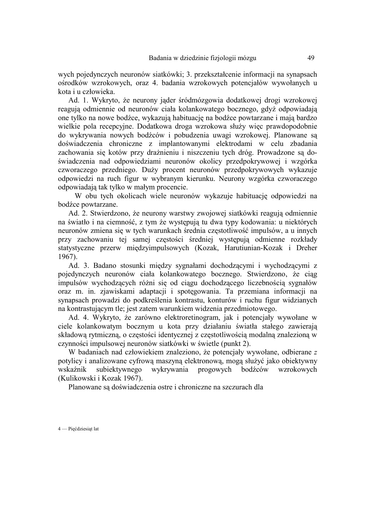wych pojedynczych neuronów siatkówki; 3. przekształcenie informacji na synapsach ośrodków wzrokowych, oraz 4. badania wzrokowych potencjałów wywołanych u kota i u człowieka.

Ad. 1. Wykryto, że neurony jąder śródmózgowia dodatkowej drogi wzrokowej reagują odmiennie od neuronów ciała kolankowatego bocznego, gdyż odpowiadają one tylko na nowe bodźce, wykazują habituację na bodźce powtarzane i mają bardzo wielkie pola recepcyjne. Dodatkowa droga wzrokowa służy więc prawdopodobnie do wykrywania nowych bodźców i pobudzenia uwagi wzrokowej. Planowane są doświadczenia chroniczne z implantowanymi elektrodami w celu zbadania zachowania się kotów przy drażnieniu i niszczeniu tych dróg. Prowadzone są doświadczenia nad odpowiedziami neuronów okolicy przedpokrywowej i wzgórka czworaczego przedniego. Duży procent neuronów przedpokrywowych wykazuje odpowiedzi na ruch figur w wybranym kierunku. Neurony wzgórka czworaczego odpowiadają tak tylko w małym procencie.

W obu tych okolicach wiele neuronów wykazuje habituację odpowiedzi na bodźce powtarzane.

Ad. 2. Stwierdzono, że neurony warstwy zwojowej siatkówki reagują odmiennie na światło i na ciemność, z tym że występują tu dwa typy kodowania: u niektórych neuronów zmiena się w tych warunkach średnia częstotliwość impulsów, a u innych przy zachowaniu tej samej częstości średniej występują odmienne rozkłady statystyczne przerw międzyimpulsowych (Kozak, Harutiunian-Kozak i Dreher 1967).

Ad. 3. Badano stosunki między sygnałami dochodzącymi i wychodzącymi z pojedynczych neuronów ciała kolankowatego bocznego. Stwierdzono, że ciąg impulsów wychodzących różni się od ciągu dochodzącego liczebnością sygnałów oraz m. in. zjawiskami adaptacji i spotęgowania. Ta przemiana informacji na synapsach prowadzi do podkreślenia kontrastu, konturów i ruchu figur widzianych na kontrastującym tle; jest zatem warunkiem widzenia przedmiotowego.

Ad. 4. Wykryto, że zarówno elektroretinogram, jak i potencjały wywołane w ciele kolankowatym bocznym u kota przy działaniu światła stałego zawierają składową rytmiczną, o częstości identycznej z częstotliwością modalną znalezioną w czynności impulsowej neuronów siatkówki w świetle (punkt 2).

W badaniach nad człowiekiem znaleziono, że potencjały wywołane, odbierane *z*  potylicy i analizowane cyfrową maszyną elektronową, mogą służyć jako obiektywny wskaźnik subiektywnego wykrywania progowych bodźców wzrokowych (Kulikowski i Kozak 1967).

Planowane są doświadczenia ostre i chroniczne na szczurach dla

4 — Pięćdziesiąt lat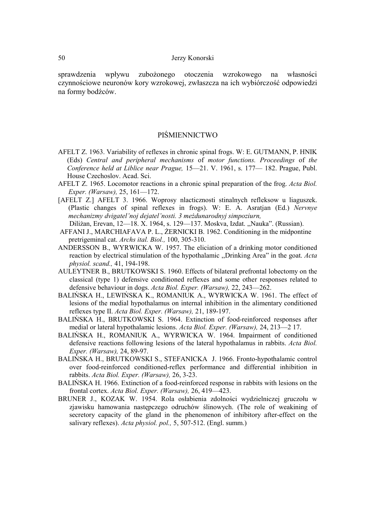sprawdzenia wpływu zubożonego otoczenia wzrokowego na własności czynnościowe neuronów kory wzrokowej, zwłaszcza na ich wybiórczość odpowiedzi na formy bodźców.

### PIŚMIENNICTWO

- AFELT Z. 1963. Variability of reflexes in chronic spinal frogs. W: E. GUTMANN, P. HNIK (Eds) *Central and peripheral mechanisms* of *motor functions. Proceedings* of *the Conference held at Liblice near Prague,* 15—21. V. 1961, s. 177— 182. Prague, Publ. House Czechoslov. Acad. Sci.
- AFELT Z. 1965. Locomotor reactions in a chronic spinal preparation of the frog. *Acta Biol. Exper. (Warsaw),* 25, 161—172.
- [AFELT Z.] AFELT 3. 1966. Woprosy nlacticznosti stinalnych refleksow u liaguszek. (Plastic changes of spinal reflexes in frogs). W: E. A. Asratjan (Ed.) *Nervnye mechanizmy dvigatel'noj dejatel'nosti. 3 meżdunarodnyj simpoziurn,*  Diliżan, Erevan, 12—18. X. 1964, s. 129—137. Moskva, Izdat. ,,Nauka". (Russian).
- AFFANI J., MARCHIAFAVA P. L., ŻERNICKI B. 1962. Conditioning in the midpontine pretrigeminal cat. *Archs ital. Biol.,* 100, 305-310.
- ANDERSSON B., WYRWICKA W. 1957. The eliciation of a drinking motor conditioned reaction by electrical stimulation of the hypothalamic ,,Drinking Area" in the goat. *Acta physiol. scand.,* 41, 194-198.
- AULEYTNER B., BRUTKOWSKI S. 1960. Effects of bilateral prefrontal lobectomy on the classical (type 1) defensive conditioned reflexes and some other responses related to defensive behaviour in dogs. *Acta Biol. Exper. (Warsaw),* 22, 243—262.
- BALIŃSKA H., LEWIŃSKA K., ROMANIUK A., WYRWICKA W. 1961. The effect of lesions of the medial hypothalamus on internal inhibition in the alimentary conditioned reflexes type II. *Acta Biol. Exper. (Warsaw),* 21, 189-197.
- BALIŃSKA H., BRUTKOWSKI S. 1964. Extinction of food-reinforced responses after medial or lateral hypothalamic lesions. *Acta Biol. Exper. (Warsaw),* 24, 213—2 17.
- BALIŃSKA H., ROMANIUK A., WYRWICKA W. 1964. Impairment of conditioned defensive reactions following lesions of the lateral hypothalamus in rabbits. *Acta Biol. Exper. (Warsaw),* 24, 89-97.
- BALIŃSKA H., BRUTKOWSKI S., STEFANICKA J. 1966. Fronto-hypothalamic control over food-reinforced conditioned-reflex performance and differential inhibition in rabbits. *Acta Biol. Exper. (Warsaw),* 26, 3-23.
- BALIŃSKA H. 1966. Extinction of a food-reinforced response in rabbits with lesions on the frontal cortex. *Acta Biol. Exper. (Warsaw),* 26, 419—423.
- BRUNER J., KOZAK W. 1954. Rola osłabienia zdolności wydzielniczej gruczołu w zjawisku hamowania następczego odruchów ślinowych. (The role of weakining of secretory capacity of the gland in the phenomenon of inhibitory after-effect on the salivary reflexes). *Acta physiol. pol.,* 5, 507-512. (Engl. summ.)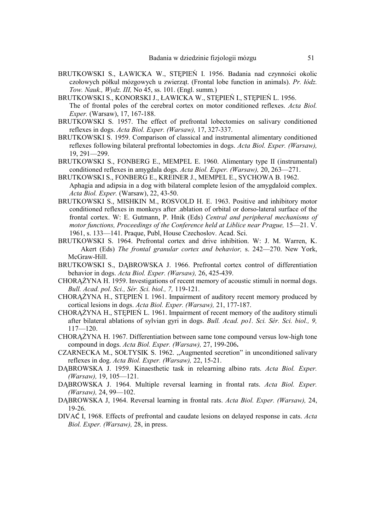- BRUTKOWSKI S., ŁAWICKA W., STĘPIEŃ I. 1956. Badania nad czynności okolic czołowych półkul mózgowych u zwierząt. (Frontal lobe function in animals). *Pr. łódz. Tow. Nauk., Wydz. III,* No 45, ss. 101. (Engl. summ.)
- BRUTKOWSKI S., KONORSKI J., ŁAWICKA W., STĘPIEŃ I., STĘPIEŃ L. 1956. The of frontal poles of the cerebral cortex on motor conditioned reflexes. *Acta Biol. Exper.* (Warsaw), 17, 167-188.
- BRUTKOWSKI S. 1957. The effect of prefrontal lobectomies on salivary conditioned reflexes in dogs. *Acta Biol. Exper. (Warsaw),* 17, 327-337.
- BRUTKOWSKI S. 1959. Comparison of classical and instrumental alimentary conditioned reflexes following bilateral prefrontal lobectomies in dogs. *Acta Biol. Exper. (Warsaw),*  19, 291—299.
- BRUTKOWSKI S., FONBERG E., MEMPEL E. 1960. Alimentary type II (instrumental) conditioned reflexes in amygdala dogs. *Acta Biol. Exper. (Warsaw),* 20, 263—271.
- BRUTKOWSKI S., FONBERG E., KREINER J., MEMPEL E., SYCHOWA B. 1962. Aphagia and adipsia in a dog with bilateral complete lesion of the amygdaloid complex. *Acta Biol. Exper.* (Warsaw), 22, 43-50.
- BRUTKOWSKI S., MISHKIN M., ROSVOLD H. E. 1963. Positive and inhibitory motor conditioned reflexes in monkeys after .ablation of orbital or dorso-lateral surface of the frontal cortex. W: E. Gutmann, P. Hnik (Eds) *Central and peripheral mechanisms of motor functions, Proceedings of the Conference held at Liblice near Prague, 15*—21. V. 1961, s. 133—141. Praque, Publ, House Czechoslov. Acad. Sci.
- BRUTKOWSKI S. 1964. Prefrontal cortex and drive inhibition. W: J. M. Warren, K. Akert (Eds) *The frontal granular cortex and behavior,* s. 242—270. New York, McGraw-Hill.
- BRUTKOWSKI S., DĄBROWSKA J. 1966. Prefrontal cortex control of differentiation behavior in dogs. *Acta Biol. Exper. (Warsaw),* 26, 425-439.
- CHORĄŻYNA H. 1959. Investigations of recent memory of acoustic stimuli in normal dogs. *Bull. Acad. pol. Sci., Sér. Sci. biol., 7,* 119-121.
- CHORĄŻYNA H., STĘPIEŃ I. 1961. Impairment of auditory recent memory produced by cortical lesions in dogs. *Acta Biol. Exper. (Warsaw),* 21, 177-187.
- CHORĄŻYNA H., STĘPIEŃ L. 1961. Impairment of recent memory of the auditory stimuli after bilateral ablations of sylvian gyri in dogs. *Bull. Acad. po1. Sci. Sér. Sci. biol., 9,*  117—120.
- CHORĄŻYNA H. 1967. Differentiation between same tone compound versus low-high tone compound in dogs. *Acta Biol. Exper. (Warsaw),* 27, 199-206**.**
- CZARNECKA M., SOŁTYSIK S. 1962. ,,Augmented secretion" in unconditioned salivary reflexes in dog. *Acta Biol. Exper. (Warsaw),* 22, 15-21.
- DĄBROWSKA J. 1959. Kinaesthetic task in relearning albino rats. *Acta Biol. Exper. (Warsaw),* 19, 105—121.
- DĄBROWSKA J. 1964. Multiple reversal learning in frontal rats. *Acta Biol. Exper. (Warsaw),* 24, 99—102.
- DĄBROWSKA J, 1964. Reversal learning in frontal rats. *Acta Biol. Exper. (Warsaw),* 24, 19-26.
- DIVAĆ I, 1968. Effects of prefrontal and caudate lesions on delayed response in cats. *Acta Biol. Exper. (Warsaw),* 28, in press.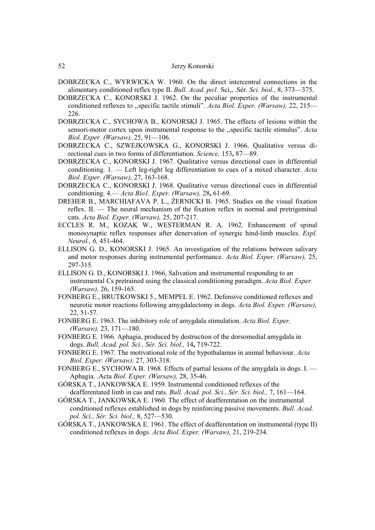- DOBRZECKA C., WYRWICKA W. 1960. On the direct intercentral connections in the alimentary conditioned reflex type II. *Bull. Acad. po1.* Sci,, .Sér. *Sci. biol.,* 8, 373—375.
- DOBRZECKA C., KONORSKI J. 1962. On the peculiar properties of the instrumental conditioned reflexes to ,,specific tactile stimuli". *Acta Biol. Exper. (Warsaw),* 22, 215— 226.
- DOBRZECKA C., SYCHOWA B., KONORSKI J. 1965. The effects of lesions within the sensori-motor cortex upon instrumental response to the ,,specific tactile stimulus". *Acta Biol. Exper. (Warsaw),* 25, 91—106.
- DOBRZECKA C., SZWEJKOWSKA G., KONORSKI J. 1966. Qualitative versus directional cues in two forms of differentiation. *Science,* 153**,** 87—89.
- DOBRZECKA C., KONORSKI J. 1967. Qualitative versus directional cues in differential conditioning. 1. — Left leg-right leg differentiation to cues of a mixed character. *Acta Biol. Exper. (Warsaw),* 27, 163-168.
- DOBRZECKA C., KONORSKI J. 1968. Qualitative versus directional cues in differential conditioning. 4.— *Acta Bio1. Exper. (Warsaw),* 28**,** 61-69.
- DREHER B., MARCHIAFAVA P. L., ŻERNICKI B. 1965. Studies on the visual fixation reflex. II. — The neural mechanism of the fixation reflex in normal and pretrigeminal cats. *Acta Biol. Exper. (Warsaw),* 25, 207-217.
- ECCLES R. M., KOZAK W., WESTERMAN R. A. 1962. Enhancement of spinal monosynaptic reflex responses after denervation of synergic hind-limb muscles. *Expl. Neurol., 6,* 451-464.
- ELLISON G. D., KONORSKI J. 1965. An investigation of the relations between salivary and motor responses during instrumental performance. *Acta Biol. Exper. (Warsaw),* 25, 297-315.
- ELLISON G. D., KONORSKI J. 1966, Salivation and instrumental responding to an instrumental Cs pretrained using the classical conditioning paradigm. *Acta Biol. Exper. (Warsaw),* 26, 159-165.
- FONBERG E., BRUTKOWSKI 5., MEMPEL E. 1962. Defensive conditioned reflexes and neurotic motor reactions following amygdalectomy in dogs. *Acta Biol. Exper. (Warsaw),*  22, 51-57.
- FONBERG E. 1963. The inhibitory role of amygdala stimulation. *Acta Biol. Exper. (Warsaw),* 23, 171—180.
- FONBERG E. 1966. Aphagia, produced by destruction of the dorsomedial amygdala in dogs. *Bull. Acad. pol. Sci., Sér. Sci. biol.,* 14**,** 719-722.
- FONBERG E. 1967. The motivational role of the hypothalamus in animal behaviour. *Acta Biol. Exper. (Warsaw),* 27, 303-318.
- FONBERG E., SYCHOWA B. 1968. Effects of partial lesions of the amygdala in dogs. I. Aphagia. .Acta *Biol. Exper. (Warsaw),* 28, 35-46.
- GÓRSKA T., JANKOWSKA E. 1959. Instrumental conditioned reflexes of the deafferentated limb in cas and rats. *Bull. Acad. pol. Sci., Sér. Sci. biol.,* 7, 161—164.
- GÓRSKA T., JANKOWSKA E. 1960. The effect of deafferentation on the instrumental conditioned reflexes established in dogs by reinforcing passive movements. *Bull. Acad. pol. Sci., Sér. Sci. biol.,* 8, 527—530.
- GÓRSKA T., JANKOWSKA E. 1961. The effect of deafferentation on instrumental (type II) conditioned reflexes in dogs. *Acta Biol. Exper. (Warsaw),* 21, 219-234.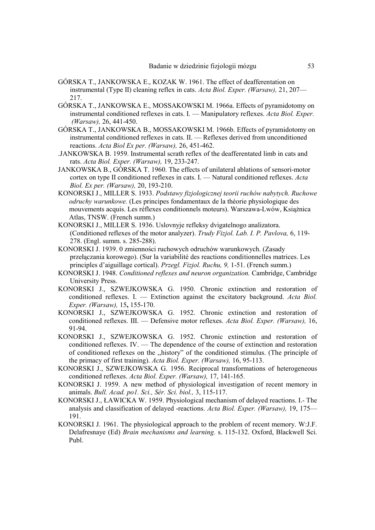- GÓRSKA T., JANKOWSKA E., KOZAK W. 1961. The effect of deafferentation on instrumental (Type II) cleaning reflex in cats. *Acta Biol. Exper. (Warsaw),* 21, 207— 217.
- GÓRSKA T., JANKOWSKA E., MOSSAKOWSKI M. 1966a. Effects of pyramidotomy on instrumental conditioned reflexes in cats. I. — Manipulatory reflexes. *Acta Biol. Exper. (Warsaw),* 26, 441-450.
- GÓRSKA T., JANKOWSKA B., MOSSAKOWSKI M. 1966b. Effects of pyramidotomy on instrumental conditioned reflexes in cats. II. — Reflexes derived from unconditioned reactions. *Acta Biol Ex per. (Warsaw),* 26, 451-462.
- .JANKOWSKA B. 1959. Instrumental scrath reflex of the deafferentated limb in cats and rats. *Acta Biol. Exper. (Warsaw),* 19, 233-247.
- JANKOWSKA B., GÓRSKA T. 1960. The effects of unilateral ablations of sensori-motor cortex on type II conditioned reflexes in cats. I. — Natural conditioned reflexes. *Acta Biol. Ex per. (Warsaw),* 20, 193-210.
- KONORSKI J., MILLER S. 1933. *Podstawy fizjologicznej teorii ruchów nabytych. Ruchowe odruchy warunkowe.* (Les principes fondamentaux de la théorie physiologique des mouvements acquis. Les réflexes conditionnels moteurs). Warszawa-Lwów, Książnica Atlas, TNSW. (French summ.)
- KONORSKI J., MILLER S. 1936. Uslovnyje refleksy dvigatelnogo analizatora. (Conditioned reflexes of the motor analyzer). *Trudy Fizjol. Lab. I. P. Pavlova,* 6, 119- 278. (Engl. summ. s. 285-288).
- KONORSKI J. 1939. 0 zmienności ruchowych odruchów warunkowych. (Zasady przełączania korowego). (Sur la variabilité des reactions conditionnelles matrices. Les principles d'aiguillage cortical). *Przegl. Fizjol. Ruchu, 9,* 1-51. (French summ.)
- KONORSKI J. 1948. *Conditioned reflexes and neuron organization.* Cambridge, Cambridge University Press.
- KONORSKI J., SZWEJKOWSKA G. 1950. Chronic extinction and restoration of conditioned reflexes. I. — Extinction against the excitatory background. *Acta Biol. Exper. (Warsaw),* 15**,** 155-170.
- KONORSKI J., SZWEJKOWSKA G. 1952. Chronic extinction and restoration of conditioned reflexes. III. — Defensive motor reflexes. *Acta Biol. Exper. (Warsaw),* 16, 91-94.
- KONORSKI J., SZWEJKOWSKA G. 1952. Chronic extinction and restoration of conditioned reflexes. IV. — The dependence of the course of extinction and restoration of conditioned reflexes on the ,,history" of the conditioned stimulus. (The principle of the primacy of first training). *Acta Biol. Exper. (Warsaw),* 16, 95-113.
- KONORSKI J., SZWEJKOWSKA G. 1956. Reciprocal transformations of heterogeneous conditioned reflexes. *Acta Biol. Exper. (Warsaw),* 17, 141-165.
- KONORSKI J. 1959. A new method of physiological investigation of recent memory in animals. *Bull. Acad. po1. Sci., Sér. Sci. biol.,* 3, 115-117.
- KONORSKI J., ŁAWICKA W. 1959. Physiological mechanism of delayed reactions. I.- The analysis and classification of delayed -reactions. *Acta Biol. Exper. (Warsaw),* 19, 175— 191.
- KONORSKI J. 1961. The physiological approach to the problem of recent memory. W:J.F. Delafresnaye (Ed) *Brain mechanisms and learning.* s. 115-132. Oxford, Blackwell Sci. Publ.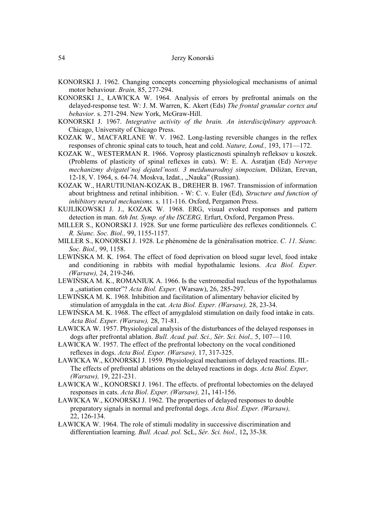- KONORSKI J. 1962. Changing concepts concerning physiological mechanisms of animal motor behaviour. *Brain,* 85, 277-294.
- KONORSKI J., ŁAWICKA W. 1964. Analysis of errors by prefrontal animals on the delayed-response test. W: J. M. Warren, K. Akert (Eds) *The frontal granular cortex and behavior.* s. 271-294. New York, McGraw-Hill.
- KONORSKI J. 1967. *Integrative activity of the brain. An interdisciplinary approach.*  Chicago, University of Chicago Press.
- KOZAK W., MACFARLANE W. V. 1962. Long-lasting reversible changes in the reflex responses of chronic spinal cats to touch, heat and cold. *Nature, Lond.,* 193, 171—172.
- KOZAK W., WESTERMAN R. 1966. Voprosy plasticznosti spinalnyh refleksov u koszek. (Problems of plasticity of spinal reflexes in cats). W: E. A. Asratjan (Ed) *Nervnye mechanizmy dvigatel'noj dejatel'nosti. 3 meżdunarodnyj simpozium,* Diliżan, Erevan, 12-18, V. 1964, s. 64-74. Moskva, Izdat., ,,Nauka" (Russian).
- KOZAK W., HARUTIUNIAN-KOZAK B., DREHER B. 1967. Transmission of information about brightness and retinal inhibition. - W: C. v. Euler (Ed), *Structure and function of inhibitory neural mechanisms.* s. 111-116. Oxford, Pergamon Press.
- KUJLIKOWSKI J. J., KOZAK W. 1968. ERG, visual evoked responses and pattern detection in man. *6th Int. Symp. of the ISCERG,* Erfurt, Oxford, Pergamon Press.
- MILLER S., KONORSKI J. 1928. Sur une forme particulière des reflexes conditionnels. *C. R. Séanc. Soc. Biol.,* 99, 1155-1157.
- MILLER S., KONORSKI J. 1928. Le phénomène de la généralisation motrice. *C. 11. Séanc. Soc. Biol.,* 99, 1158.
- LEWIŃSKA M. K. 1964. The effect of food deprivation on blood sugar level, food intake and conditioning in rabbits with medial hypothalamic lesions. *Aca Biol. Exper. (Warsaw),* 24, 219-246.
- LEWIŃSKA M. K., ROMANIUK A. 1966. Is the ventromedial nucleus of the hypothalamus a ,,satiation center"? *Acta Biol. Exper.* (Warsaw), 26, 285-297.
- LEWIŃSKA M. K. 1968. Inhibition and facilitation of alimentary behavior elicited by stimulation of amygdala in the cat. *Acta Biol. Exper. (Warsaw),* 28, 23-34.
- LEWIŃSKA M. K. 1968. The effect of amygdaloid stimulation on daily food intake in cats. *Acta Biol. Exper. (Warsaw),* 28, 71-81.
- ŁAWICKA W. 1957. Physiological analysis of the disturbances of the delayed responses in dogs after prefrontal ablation. *Bull. Acad. pal. Sci., Sér. Sci. biol.,* 5, 107—110.
- ŁAWICKA W. 1957. The effect of the prefrontal lobectony on the vocal conditioned reflexes in dogs. *Acta Biol. Exper. (Warsaw),* 17, 317-325.
- ŁAWICKA W., KONORSKI J. 1959. Physiological mechanism of delayed reactions. III.- The effects of prefrontal ablations on the delayed reactions in dogs. *Acta Biol. Exper, (Warsaw),* 19, 221-231.
- ŁAWICKA W., KONORSKI J. 1961. The effects. of prefrontal lobectomies on the delayed responses in cats. *Acta Biol*. *Exper. (Warsaw),* 21**,** 141-156.
- ŁAWICKA W., KONORSKI J. 1962. The properties of delayed responses to double preparatory signals in normal and prefrontal dogs. *Acta Biol. Exper. (Warsaw),*  22, 126-134.
- ŁAWICKA W. 1964. The role of stimuli modality in successive discrimination and differentiation learning. *Bull. Acad. pol.* ScL, *Sér. Sci. biol.,* 12**,** 35-38.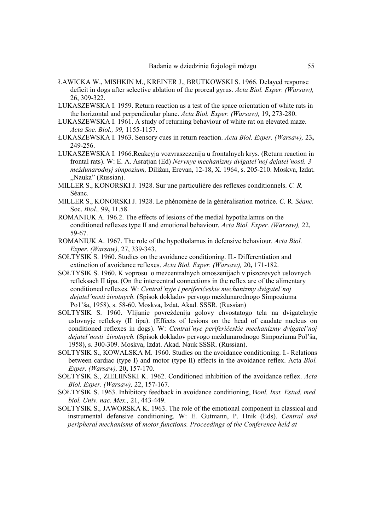- ŁAWICKA W., MISHKIN M., KREINER J., BRUTKOWSKI S. 1966. Delayed response deficit in dogs after selective ablation of the proreal gyrus. *Acta Biol. Exper. (Warsaw),*  26, 309-322.
- ŁUKASZEWSKA I. 1959. Return reaction as a test of the space orientation of white rats in the horizontal and perpendicular plane. *Acta Biol. Exper. (Warsaw),* 19**,** 273-280.
- ŁUKASZEWSKA I. 1961. A study of returning behaviour of white rat on elevated maze. *Acta Soc. Biol., 99,* 1155-1157.
- ŁUKASZEWSKA I. 1963. Sensory cues in return reaction. *Acta Biol. Exper. (Warsaw),* 23**,**  249-256.
- ŁUKASZEWSKA I. 1966.Reakcyja vozvraszczenija u frontalnych krys. (Return reaction in frontal rats). W: E. A. Asratjan (Ed) *Nervnye mechanizmy dvigatel'noj dejatel'nosti. 3 meżdunarodnyj simpozium,* Diliżan, Erevan, 12-18, X. 1964, s. 205-210. Moskva, Izdat. ,,Nauka" (Russian).
- MILLER S., KONORSKI J. 1928. Sur une particulière des reflexes conditionnels. *C. R.*  Séanc.
- MILLER S., KONORSKI J. 1928. Le phénomène de la généralisation motrice. *C.* R. *Séanc.*  Soc. *Biol.,* 99**,** 11.58.
- ROMANIUK A. 196.2. The effects of lesions of the medial hypothalamus on the conditioned reflexes type II and emotional behaviour. *Acta Biol. Exper. (Warsaw),* 22, 59-67.
- ROMANIUK A. 1967. The role of the hypothalamus in defensive behaviour. *Acta Biol. Exper. (Warsaw),* 27, 339-343.
- SOŁTYSIK S. 1960. Studies on the avoidance conditioning. II.- Differentiation and extinction of avoidance reflexes. *Acta Biol. Exper. (Warsaw),* 20**,** 171-182.
- SOŁTYSIK S. 1960. K voprosu o meżcentralnych otnoszenijach v piszczevych uslovnych refleksach II tipa. (On the intercentral connections in the reflex arc of the alimentary conditioned reflexes. W: *Central'nyje i periferičeskie mechanizmy dvigatel'noj dejatel'nosti żivotnych.* (Spisok dokladov pervogo meżdunarodnogo Simpoziuma Po1'ša, 1958), s. 58-60. Moskva, Izdat. Akad. SSSR. (Russian)
- SOŁTYSIK S. 1960. Vlijanie povreżdenija golovy chvostatogo tela na dvigatelnyje uslovnyje refleksy (II tipa). (Effects of lesions on the head of caudate nucleus on conditioned reflexes in dogs). W: *Central'nye periferičeskie mechanizmy dvigatel'noj dejatel'nosti żivotnych.* (Spisok dokladov pervogo meżdunarodnogo Simpoziuma Pol'ša, 1958), s. 300-309. Moskva, Izdat. Akad. Nauk SSSR. (Russian).
- SOŁTYSIK S., KOWALSKA M. 1960. Studies on the avoidance conditioning. I.- Relations between cardiac (type I) and motor (type II) effects in the avoidance reflex. Acta *Biol. Exper. (Warsaw),* 20**,** 157-170.
- SOŁTYSIK S., ZIELIIŃSKI K. 1962. Conditioned inhibition of the avoidance reflex. *Acta Biol. Exper. (Warsaw),* 22, 157-167.
- SOŁTYSIK S. 1963. Inhibitory feedback in avoidance conditioning, B*onl. Inst. Estud. med. biol. Univ. nac. Mex.,* 21, 443-449.
- SOŁTYSIK S., JAWORSKA K. 1963. The role of the emotional component in classical and instrumental defensive conditioning. W: E. Gutmann, P. Hnik (Eds). *Central and peripheral mechanisms* of *motor functions. Proceedings of the Conference held at*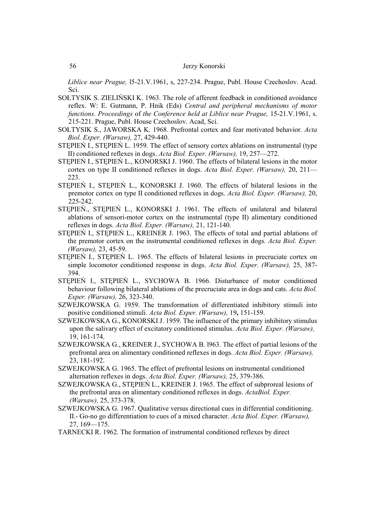*Liblice near Prague,* l5-21.V.1961, s, 227-234. Prague, Publ. House Czechoslov. Acad. Sci.

- SOŁTYSIK S. ZIELIŃSKI K. 1963. The role of afferent feedback in conditioned avoidance reflex. W: E. Gutmann, P. Hnik (Eds) *Central and peripheral mechanisms of motor functions. Proceedings* of *the Conference held at Liblice near Prague,* 15-21.V.1961, s. 215-221. Prague, Publ. House Czechoslov. Acad, Sci.
- SOŁTYSIK S., JAWORSKA K. 1968. Prefrontal cortex and fear motivated behavior. *Acta Biol. Exper. (Warsaw),* 27, 429-440.
- STĘPIEŃ I., STĘPIEŃ L. 1959. The effect of sensory cortex ablations on instrumental (type II) conditioned reflexes in dogs. *Acta Biol. Exper. (Warsaw),* 19, 257—272.
- STĘPIEŃ I., STĘPIEŃ L., KONORSKI J. 1960. The effects of bilateral lesions in the motor cortex on type II conditioned reflexes in dogs. *Acta Biol. Exper. (Warsaw),* 20, 211— 223.
- STĘPIEŃ I., STĘPIEŃ L., KONORSKI J. 1960. The effects of bilateral lesions in the premotor cortex on type II conditioned reflexes in dogs. *Acta Biol. Exper. (Warsaw),* 20, 225-242.
- STĘPIEŃ., STĘPIEŃ L., KONORSKI J. 1961. The effects of unilateral and bilateral ablations of sensori-motor cortex on the instrumental (type II) alimentary conditioned reflexes in dogs. *Acta Biol. Exper. (Warsaw),* 21, 121-140.
- STĘPIEŃ I., STĘPIEŃ L., KREINER J. 1963. The effects of total and partial ablations of the premotor cortex on the instrumental conditioned reflexes in dogs. *Acta Biol. Exper. (Warsaw),* 23, 45-59.
- STĘPIEŃ I., STĘPIEŃ L. 1965. The effects of bilateral lesions in precruciate cortex on simple locomotor conditioned response in dogs. *Acta Biol. Exper. (Warsaw),* 25, 387- 394.
- STĘPIEŃ I., STĘPIEŃ L., SYCHOWA B. 1966. Disturbance of motor conditioned behaviour following bilateral ablations of the precruciate area in dogs and cats. *Acta Biol. Exper. (Warsaw),* 26, 323-340.
- SZWEJKOWSKA G. 1959. The transformation of differentiated inhibitory stimuli into positive conditioned stimuli. *Acta Biol. Exper. (Warsaw),* 19**,** 151-159.
- SZWEJKOWSKA G., KONORSKI J. 1959. The influence of the primary inhibitory stimulus upon the salivary effect of excitatory conditioned stimulus. *Acta Biol. Exper. (Warsaw),*  19, 161-174.
- SZWEJKOWSKA G., KREINER J., SYCHOWA B. l963. The effect of partial lesions of the prefrontal area on alimentary conditioned reflexes in dogs. *Acta Biol. Exper. (Warsaw),*  23, 181-192.
- SZWEJKOWSKA G. 1965. The effect of prefrontal lesions on instrumental conditioned alternation reflexes in dogs. *Acta Biol. Exper. (Warsaw),* 25, 379-386.
- SZWEJKOWSKA G., STĘPIEŃ L., KREINER J. 1965. The effect of subproreal lesions of the prefrontal area on alimentary conditioned reflexes in dogs. *ActaBiol. Exper. (Warsaw),* 25, 373-378.
- SZWEJKOWSKA G. 1967. Qualitative versus directional cues in differential conditioning. II.- Go-no go differentiation to cues of a mixed character. *Acta Biol. Exper. (Warsaw),*  27, 169—175.
- TARNECKI R. 1962. The formation of instrumental conditioned reflexes by direct